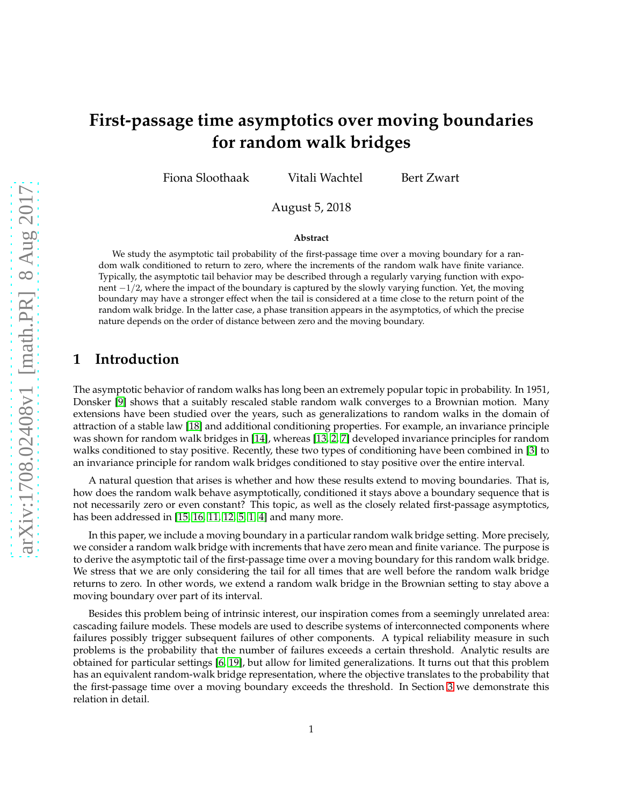# **First-passage time asymptotics over moving boundaries for random walk bridges**

Fiona Sloothaak Vitali Wachtel Bert Zwart

August 5, 2018

#### **Abstract**

We study the asymptotic tail probability of the first-passage time over a moving boundary for a random walk conditioned to return to zero, where the increments of the random walk have finite variance. Typically, the asymptotic tail behavior may be described through a regularly varying function with exponent −1/2, where the impact of the boundary is captured by the slowly varying function. Yet, the moving boundary may have a stronger effect when the tail is considered at a time close to the return point of the random walk bridge. In the latter case, a phase transition appears in the asymptotics, of which the precise nature depends on the order of distance between zero and the moving boundary.

### **1 Introduction**

The asymptotic behavior of random walks has long been an extremely popular topic in probability. In 1951, Donsker [\[9\]](#page-21-0) shows that a suitably rescaled stable random walk converges to a Brownian motion. Many extensions have been studied over the years, such as generalizations to random walks in the domain of attraction of a stable law [\[18\]](#page-21-1) and additional conditioning properties. For example, an invariance principle was shown for random walk bridges in [\[14\]](#page-21-2), whereas [\[13,](#page-21-3) [2,](#page-20-0) [7\]](#page-21-4) developed invariance principles for random walks conditioned to stay positive. Recently, these two types of conditioning have been combined in [\[3\]](#page-20-1) to an invariance principle for random walk bridges conditioned to stay positive over the entire interval.

A natural question that arises is whether and how these results extend to moving boundaries. That is, how does the random walk behave asymptotically, conditioned it stays above a boundary sequence that is not necessarily zero or even constant? This topic, as well as the closely related first-passage asymptotics, has been addressed in [\[15,](#page-21-5) [16,](#page-21-6) [11,](#page-21-7) [12,](#page-21-8) [5,](#page-20-2) [1,](#page-20-3) [4\]](#page-20-4) and many more.

In this paper, we include a moving boundary in a particular random walk bridge setting. More precisely, we consider a random walk bridge with increments that have zero mean and finite variance. The purpose is to derive the asymptotic tail of the first-passage time over a moving boundary for this random walk bridge. We stress that we are only considering the tail for all times that are well before the random walk bridge returns to zero. In other words, we extend a random walk bridge in the Brownian setting to stay above a moving boundary over part of its interval.

Besides this problem being of intrinsic interest, our inspiration comes from a seemingly unrelated area: cascading failure models. These models are used to describe systems of interconnected components where failures possibly trigger subsequent failures of other components. A typical reliability measure in such problems is the probability that the number of failures exceeds a certain threshold. Analytic results are obtained for particular settings [\[6,](#page-20-5) [19\]](#page-21-9), but allow for limited generalizations. It turns out that this problem has an equivalent random-walk bridge representation, where the objective translates to the probability that the first-passage time over a moving boundary exceeds the threshold. In Section [3](#page-3-0) we demonstrate this relation in detail.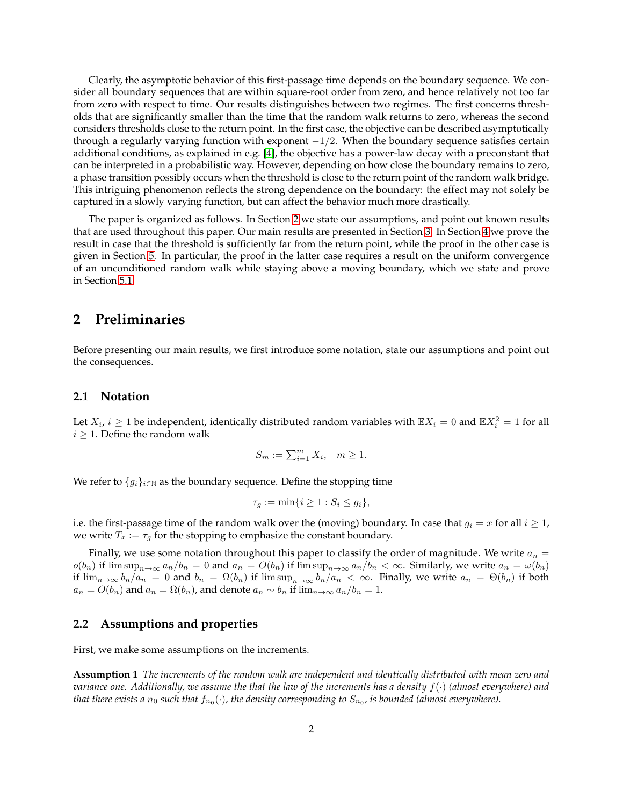Clearly, the asymptotic behavior of this first-passage time depends on the boundary sequence. We consider all boundary sequences that are within square-root order from zero, and hence relatively not too far from zero with respect to time. Our results distinguishes between two regimes. The first concerns thresholds that are significantly smaller than the time that the random walk returns to zero, whereas the second considers thresholds close to the return point. In the first case, the objective can be described asymptotically through a regularly varying function with exponent  $-1/2$ . When the boundary sequence satisfies certain additional conditions, as explained in e.g. [\[4\]](#page-20-4), the objective has a power-law decay with a preconstant that can be interpreted in a probabilistic way. However, depending on how close the boundary remains to zero, a phase transition possibly occurs when the threshold is close to the return point of the random walk bridge. This intriguing phenomenon reflects the strong dependence on the boundary: the effect may not solely be captured in a slowly varying function, but can affect the behavior much more drastically.

The paper is organized as follows. In Section [2](#page-1-0) we state our assumptions, and point out known results that are used throughout this paper. Our main results are presented in Section [3.](#page-3-0) In Section [4](#page-5-0) we prove the result in case that the threshold is sufficiently far from the return point, while the proof in the other case is given in Section [5.](#page-7-0) In particular, the proof in the latter case requires a result on the uniform convergence of an unconditioned random walk while staying above a moving boundary, which we state and prove in Section [5.1.](#page-7-1)

#### <span id="page-1-0"></span>**2 Preliminaries**

Before presenting our main results, we first introduce some notation, state our assumptions and point out the consequences.

#### **2.1 Notation**

Let  $X_i$ ,  $i \geq 1$  be independent, identically distributed random variables with  $\mathbb{E}X_i = 0$  and  $\mathbb{E}X_i^2 = 1$  for all  $i \geq 1$ . Define the random walk

$$
S_m := \sum_{i=1}^m X_i, \quad m \ge 1.
$$

We refer to  ${g_i}_{i \in \mathbb{N}}$  as the boundary sequence. Define the stopping time

<span id="page-1-1"></span>
$$
\tau_g := \min\{i \ge 1 : S_i \le g_i\},\
$$

i.e. the first-passage time of the random walk over the (moving) boundary. In case that  $g_i = x$  for all  $i \geq 1$ , we write  $T_x := \tau_g$  for the stopping to emphasize the constant boundary.

Finally, we use some notation throughout this paper to classify the order of magnitude. We write  $a_n =$  $o(b_n)$  if  $\limsup_{n\to\infty} a_n/b_n = 0$  and  $a_n = O(b_n)$  if  $\limsup_{n\to\infty} a_n/b_n < \infty$ . Similarly, we write  $a_n = \omega(b_n)$ if  $\lim_{n\to\infty} b_n/a_n = 0$  and  $b_n = \Omega(b_n)$  if  $\limsup_{n\to\infty} b_n/a_n < \infty$ . Finally, we write  $a_n = \Theta(b_n)$  if both  $a_n = O(b_n)$  and  $a_n = \Omega(b_n)$ , and denote  $a_n \sim b_n$  if  $\lim_{n \to \infty} a_n/b_n = 1$ .

#### **2.2 Assumptions and properties**

First, we make some assumptions on the increments.

**Assumption 1** *The increments of the random walk are independent and identically distributed with mean zero and variance one. Additionally, we assume the that the law of the increments has a density* f(·) *(almost everywhere) and* that there exists a  $n_0$  such that  $f_{n_0}(\cdot)$ , the density corresponding to  $S_{n_0}$ , is bounded (almost everywhere).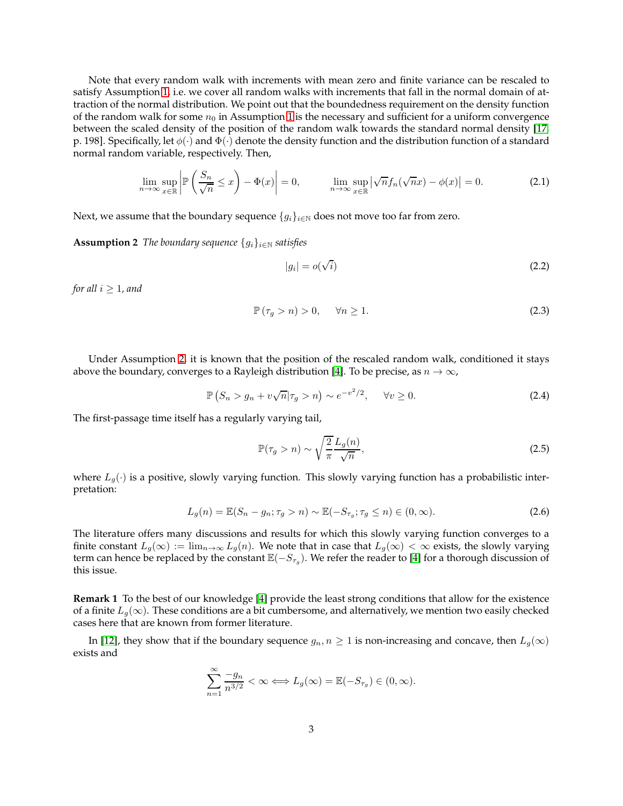Note that every random walk with increments with mean zero and finite variance can be rescaled to satisfy Assumption [1,](#page-1-1) i.e. we cover all random walks with increments that fall in the normal domain of attraction of the normal distribution. We point out that the boundedness requirement on the density function of the random walk for some  $n_0$  in Assumption [1](#page-1-1) is the necessary and sufficient for a uniform convergence between the scaled density of the position of the random walk towards the standard normal density [\[17,](#page-21-10) p. 198]. Specifically, let  $\phi(\cdot)$  and  $\Phi(\cdot)$  denote the density function and the distribution function of a standard normal random variable, respectively. Then,

$$
\lim_{n \to \infty} \sup_{x \in \mathbb{R}} \left| \mathbb{P}\left(\frac{S_n}{\sqrt{n}} \le x\right) - \Phi(x) \right| = 0, \qquad \lim_{n \to \infty} \sup_{x \in \mathbb{R}} \left| \sqrt{n} f_n(\sqrt{n} x) - \phi(x) \right| = 0. \tag{2.1}
$$

Next, we assume that the boundary sequence  $\{g_i\}_{i\in\mathbb{N}}$  does not move too far from zero.

**Assumption 2** *The boundary sequence*  ${g_i}_{i \in \mathbb{N}}$  *satisfies* 

<span id="page-2-1"></span><span id="page-2-0"></span>
$$
|g_i| = o(\sqrt{i})\tag{2.2}
$$

*for all*  $i \geq 1$ *, and* 

$$
\mathbb{P}(\tau_g > n) > 0, \quad \forall n \ge 1. \tag{2.3}
$$

Under Assumption [2,](#page-2-0) it is known that the position of the rescaled random walk, conditioned it stays above the boundary, converges to a Rayleigh distribution [\[4\]](#page-20-4). To be precise, as  $n \to \infty$ ,

$$
\mathbb{P}\left(S_n > g_n + v\sqrt{n}|\tau_g > n\right) \sim e^{-v^2/2}, \qquad \forall v \ge 0. \tag{2.4}
$$

The first-passage time itself has a regularly varying tail,

<span id="page-2-3"></span><span id="page-2-2"></span>
$$
\mathbb{P}(\tau_g > n) \sim \sqrt{\frac{2}{\pi}} \frac{L_g(n)}{\sqrt{n}},\tag{2.5}
$$

where  $L_q(\cdot)$  is a positive, slowly varying function. This slowly varying function has a probabilistic interpretation:

$$
L_g(n) = \mathbb{E}(S_n - g_n; \tau_g > n) \sim \mathbb{E}(-S_{\tau_g}; \tau_g \le n) \in (0, \infty).
$$
\n(2.6)

The literature offers many discussions and results for which this slowly varying function converges to a finite constant  $L_g(\infty) := \lim_{n \to \infty} L_g(n)$ . We note that in case that  $L_g(\infty) < \infty$  exists, the slowly varying term can hence be replaced by the constant  $\mathbb{E}(-S_{\tau_g})$ . We refer the reader to [\[4\]](#page-20-4) for a thorough discussion of this issue.

**Remark 1** To the best of our knowledge [\[4\]](#page-20-4) provide the least strong conditions that allow for the existence of a finite  $L_q(\infty)$ . These conditions are a bit cumbersome, and alternatively, we mention two easily checked cases here that are known from former literature.

In [\[12\]](#page-21-8), they show that if the boundary sequence  $g_n, n \ge 1$  is non-increasing and concave, then  $L_g(\infty)$ exists and

$$
\sum_{n=1}^{\infty} \frac{-g_n}{n^{3/2}} < \infty \Longleftrightarrow L_g(\infty) = \mathbb{E}(-S_{\tau_g}) \in (0, \infty).
$$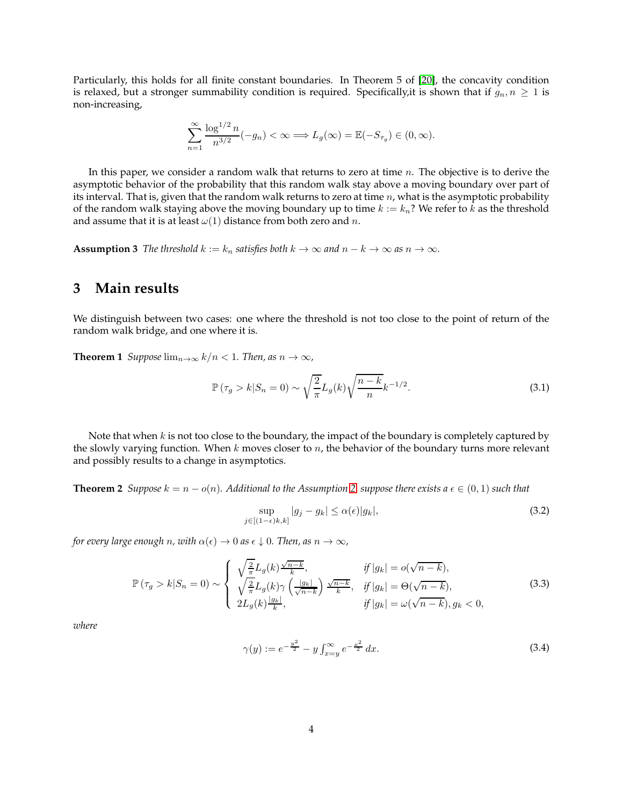Particularly, this holds for all finite constant boundaries. In Theorem 5 of [\[20\]](#page-21-11), the concavity condition is relaxed, but a stronger summability condition is required. Specifically, it is shown that if  $g_n, n \geq 1$  is non-increasing,

$$
\sum_{n=1}^{\infty} \frac{\log^{1/2} n}{n^{3/2}} (-g_n) < \infty \Longrightarrow L_g(\infty) = \mathbb{E}(-S_{\tau_g}) \in (0, \infty).
$$

In this paper, we consider a random walk that returns to zero at time  $n$ . The objective is to derive the asymptotic behavior of the probability that this random walk stay above a moving boundary over part of its interval. That is, given that the random walk returns to zero at time  $n$ , what is the asymptotic probability of the random walk staying above the moving boundary up to time  $k := k_n$ ? We refer to k as the threshold and assume that it is at least  $\omega(1)$  distance from both zero and *n*.

<span id="page-3-4"></span><span id="page-3-0"></span>**Assumption 3** *The threshold*  $k := k_n$  *satisfies both*  $k \to \infty$  *and*  $n - k \to \infty$  *as*  $n \to \infty$ *.* 

### **3 Main results**

We distinguish between two cases: one where the threshold is not too close to the point of return of the random walk bridge, and one where it is.

**Theorem 1** *Suppose*  $\lim_{n\to\infty} k/n < 1$ *. Then, as*  $n \to \infty$ *,* 

$$
\mathbb{P}(\tau_g > k | S_n = 0) \sim \sqrt{\frac{2}{\pi}} L_g(k) \sqrt{\frac{n-k}{n}} k^{-1/2}.
$$
\n(3.1)

Note that when  $k$  is not too close to the boundary, the impact of the boundary is completely captured by the slowly varying function. When  $k$  moves closer to  $n$ , the behavior of the boundary turns more relevant and possibly results to a change in asymptotics.

**Theorem 2** *Suppose*  $k = n - o(n)$ *. Additional to the Assumption* [2,](#page-2-0) *suppose there exists*  $a \in (0,1)$  *such that* 

<span id="page-3-5"></span><span id="page-3-3"></span><span id="page-3-1"></span>
$$
\sup_{j \in [(1-\epsilon)k,k]} |g_j - g_k| \le \alpha(\epsilon) |g_k|,\tag{3.2}
$$

*for every large enough n, with*  $\alpha(\epsilon) \to 0$  *as*  $\epsilon \downarrow 0$ *. Then, as*  $n \to \infty$ *,* 

$$
\mathbb{P}\left(\tau_g > k | S_n = 0\right) \sim \begin{cases} \sqrt{\frac{2}{\pi}} L_g(k) \frac{\sqrt{n-k}}{k}, & \text{if } |g_k| = o(\sqrt{n-k}),\\ \sqrt{\frac{2}{\pi}} L_g(k) \gamma \left(\frac{|g_k|}{\sqrt{n-k}}\right) \frac{\sqrt{n-k}}{k}, & \text{if } |g_k| = \Theta(\sqrt{n-k}),\\ 2L_g(k) \frac{|g_k|}{k}, & \text{if } |g_k| = \omega(\sqrt{n-k}), g_k < 0, \end{cases} \tag{3.3}
$$

*where*

<span id="page-3-2"></span>
$$
\gamma(y) := e^{-\frac{y^2}{2}} - y \int_{x=y}^{\infty} e^{-\frac{x^2}{2}} dx.
$$
\n(3.4)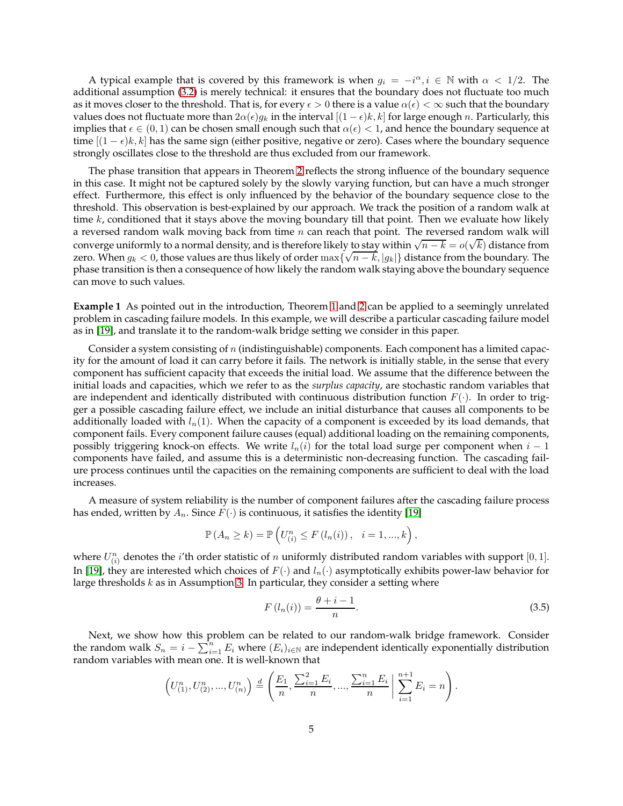A typical example that is covered by this framework is when  $g_i = -i^{\alpha}, i \in \mathbb{N}$  with  $\alpha < 1/2$ . The additional assumption [\(3.2\)](#page-3-1) is merely technical: it ensures that the boundary does not fluctuate too much as it moves closer to the threshold. That is, for every  $\epsilon > 0$  there is a value  $\alpha(\epsilon) < \infty$  such that the boundary values does not fluctuate more than  $2\alpha(\epsilon)g_k$  in the interval  $[(1-\epsilon)k, k]$  for large enough n. Particularly, this implies that  $\epsilon \in (0,1)$  can be chosen small enough such that  $\alpha(\epsilon) < 1$ , and hence the boundary sequence at time  $[(1 - \epsilon)k, k]$  has the same sign (either positive, negative or zero). Cases where the boundary sequence strongly oscillates close to the threshold are thus excluded from our framework.

The phase transition that appears in Theorem [2](#page-3-2) reflects the strong influence of the boundary sequence in this case. It might not be captured solely by the slowly varying function, but can have a much stronger effect. Furthermore, this effect is only influenced by the behavior of the boundary sequence close to the threshold. This observation is best-explained by our approach. We track the position of a random walk at time  $k$ , conditioned that it stays above the moving boundary till that point. Then we evaluate how likely a reversed random walk moving back from time  $n$  can reach that point. The reversed random walk will converge uniformly to a normal density, and is therefore likely to stay within  $\sqrt{n-k} = o(\sqrt{k})$  distance from zero. When  $g_k < 0$ , those values are thus likely of order max $\{\sqrt{n-k}, |g_k|\}$  distance from the boundary. The phase transition is then a consequence of how likely the random walk staying above the boundary sequence can move to such values.

**Example 1** As pointed out in the introduction, Theorem [1](#page-3-3) and [2](#page-3-2) can be applied to a seemingly unrelated problem in cascading failure models. In this example, we will describe a particular cascading failure model as in [\[19\]](#page-21-9), and translate it to the random-walk bridge setting we consider in this paper.

Consider a system consisting of  $n$  (indistinguishable) components. Each component has a limited capacity for the amount of load it can carry before it fails. The network is initially stable, in the sense that every component has sufficient capacity that exceeds the initial load. We assume that the difference between the initial loads and capacities, which we refer to as the *surplus capacity*, are stochastic random variables that are independent and identically distributed with continuous distribution function  $F(\cdot)$ . In order to trigger a possible cascading failure effect, we include an initial disturbance that causes all components to be additionally loaded with  $l_n(1)$ . When the capacity of a component is exceeded by its load demands, that component fails. Every component failure causes (equal) additional loading on the remaining components, possibly triggering knock-on effects. We write  $l_n(i)$  for the total load surge per component when  $i-1$ components have failed, and assume this is a deterministic non-decreasing function. The cascading failure process continues until the capacities on the remaining components are sufficient to deal with the load increases.

A measure of system reliability is the number of component failures after the cascading failure process has ended, written by  $A_n$ . Since  $F(\cdot)$  is continuous, it satisfies the identity [\[19\]](#page-21-9)

$$
\mathbb{P}\left(A_n \geq k\right) = \mathbb{P}\left(U_{(i)}^n \leq F\left(l_n(i)\right), \quad i = 1, ..., k\right),
$$

where  $U_{(i)}^n$  denotes the *i*'th order statistic of *n* uniformly distributed random variables with support [0, 1]. In [\[19\]](#page-21-9), they are interested which choices of  $F(\cdot)$  and  $l_n(\cdot)$  asymptotically exhibits power-law behavior for large thresholds  $k$  as in Assumption [3.](#page-3-4) In particular, they consider a setting where

<span id="page-4-0"></span>
$$
F\left(l_n(i)\right) = \frac{\theta + i - 1}{n}.\tag{3.5}
$$

Next, we show how this problem can be related to our random-walk bridge framework. Consider the random walk  $S_n = i - \sum_{i=1}^n E_i$  where  $(E_i)_{i \in \mathbb{N}}$  are independent identically exponentially distribution random variables with mean one. It is well-known that

$$
\left(U_{(1)}^n, U_{(2)}^n, ..., U_{(n)}^n\right) \stackrel{d}{=} \left(\frac{E_1}{n}, \frac{\sum_{i=1}^2 E_i}{n}, ..., \frac{\sum_{i=1}^n E_i}{n}\right) \sum_{i=1}^{n+1} E_i = n\right).
$$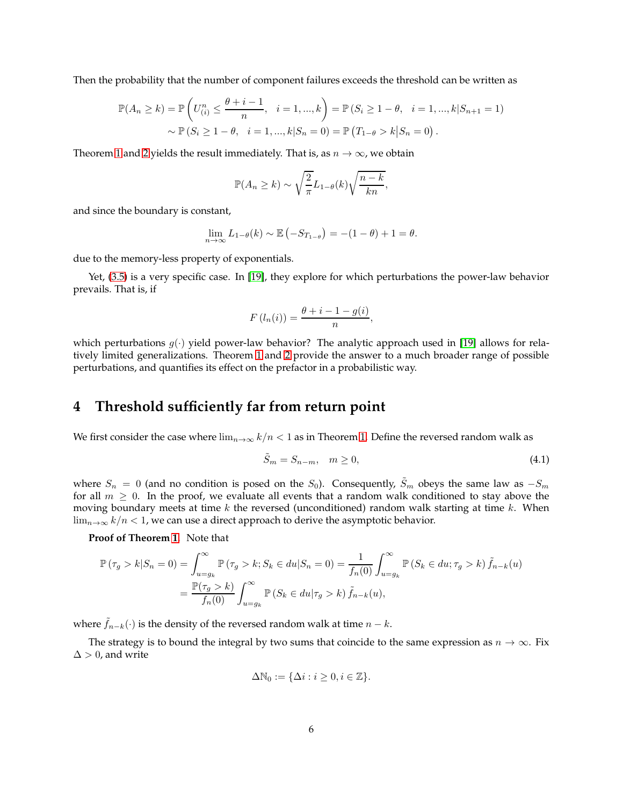Then the probability that the number of component failures exceeds the threshold can be written as

$$
\mathbb{P}(A_n \ge k) = \mathbb{P}\left(U_{(i)}^n \le \frac{\theta + i - 1}{n}, \quad i = 1, ..., k\right) = \mathbb{P}(S_i \ge 1 - \theta, \quad i = 1, ..., k|S_{n+1} = 1)
$$

$$
\sim \mathbb{P}(S_i \ge 1 - \theta, \quad i = 1, ..., k|S_n = 0) = \mathbb{P}\left(T_{1-\theta} > k|S_n = 0\right).
$$

Theorem [1](#page-3-3) and [2](#page-3-2) yields the result immediately. That is, as  $n \to \infty$ , we obtain

$$
\mathbb{P}(A_n \ge k) \sim \sqrt{\frac{2}{\pi}} L_{1-\theta}(k) \sqrt{\frac{n-k}{kn}},
$$

and since the boundary is constant,

$$
\lim_{n \to \infty} L_{1-\theta}(k) \sim \mathbb{E}\left(-S_{T_{1-\theta}}\right) = -(1-\theta) + 1 = \theta.
$$

due to the memory-less property of exponentials.

Yet, [\(3.5\)](#page-4-0) is a very specific case. In [\[19\]](#page-21-9), they explore for which perturbations the power-law behavior prevails. That is, if

$$
F(l_n(i)) = \frac{\theta + i - 1 - g(i)}{n},
$$

which perturbations  $g(\cdot)$  yield power-law behavior? The analytic approach used in [\[19\]](#page-21-9) allows for relatively limited generalizations. Theorem [1](#page-3-3) and [2](#page-3-2) provide the answer to a much broader range of possible perturbations, and quantifies its effect on the prefactor in a probabilistic way.

### <span id="page-5-0"></span>**4 Threshold sufficiently far from return point**

We first consider the case where  $\lim_{n\to\infty} k/n < 1$  as in Theorem [1.](#page-3-3) Define the reversed random walk as

<span id="page-5-1"></span>
$$
\tilde{S}_m = S_{n-m}, \quad m \ge 0,\tag{4.1}
$$

where  $S_n = 0$  (and no condition is posed on the  $S_0$ ). Consequently,  $\tilde{S}_m$  obeys the same law as  $-S_m$ for all  $m \geq 0$ . In the proof, we evaluate all events that a random walk conditioned to stay above the moving boundary meets at time  $k$  the reversed (unconditioned) random walk starting at time  $k$ . When  $\lim_{n\to\infty} k/n < 1$ , we can use a direct approach to derive the asymptotic behavior.

**Proof of Theorem [1.](#page-3-3)** Note that

$$
\mathbb{P}(\tau_g > k | S_n = 0) = \int_{u=g_k}^{\infty} \mathbb{P}(\tau_g > k; S_k \in du | S_n = 0) = \frac{1}{f_n(0)} \int_{u=g_k}^{\infty} \mathbb{P}(S_k \in du; \tau_g > k) \tilde{f}_{n-k}(u)
$$

$$
= \frac{\mathbb{P}(\tau_g > k)}{f_n(0)} \int_{u=g_k}^{\infty} \mathbb{P}(S_k \in du | \tau_g > k) \tilde{f}_{n-k}(u),
$$

where  $f_{n-k}(\cdot)$  is the density of the reversed random walk at time  $n - k$ .

The strategy is to bound the integral by two sums that coincide to the same expression as  $n \to \infty$ . Fix  $\Delta > 0$ , and write

$$
\Delta \mathbb{N}_0 := \{ \Delta i : i \ge 0, i \in \mathbb{Z} \}.
$$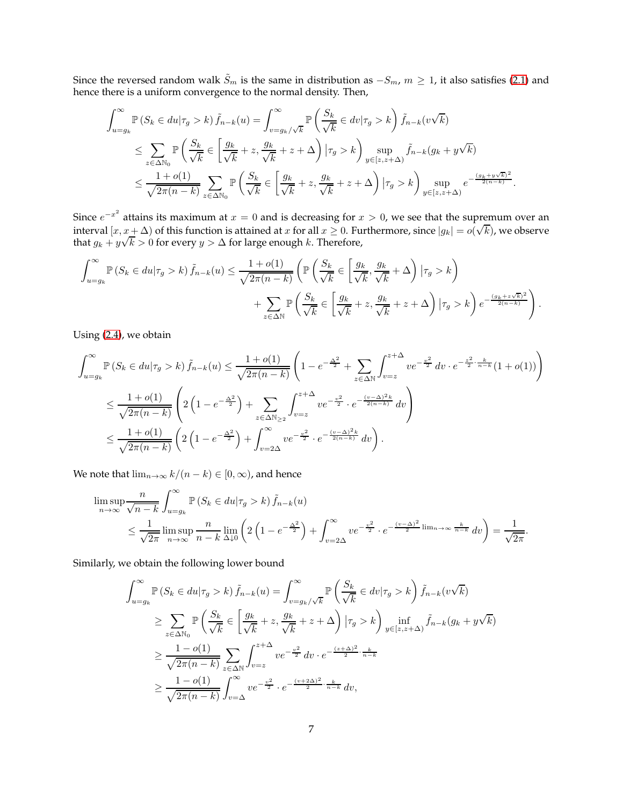Since the reversed random walk  $\tilde{S}_m$  is the same in distribution as  $-S_m$ ,  $m \ge 1$ , it also satisfies [\(2.1\)](#page-2-1) and hence there is a uniform convergence to the normal density. Then,

$$
\int_{u=g_k}^{\infty} \mathbb{P}\left(S_k \in du | \tau_g > k\right) \tilde{f}_{n-k}(u) = \int_{v=g_k/\sqrt{k}}^{\infty} \mathbb{P}\left(\frac{S_k}{\sqrt{k}} \in dv | \tau_g > k\right) \tilde{f}_{n-k}(v\sqrt{k})
$$
  
\n
$$
\leq \sum_{z \in \Delta \mathbb{N}_0} \mathbb{P}\left(\frac{S_k}{\sqrt{k}} \in \left[\frac{g_k}{\sqrt{k}} + z, \frac{g_k}{\sqrt{k}} + z + \Delta\right) | \tau_g > k\right) \sup_{y \in [z, z+\Delta)} \tilde{f}_{n-k}(g_k + y\sqrt{k})
$$
  
\n
$$
\leq \frac{1+o(1)}{\sqrt{2\pi(n-k)}} \sum_{z \in \Delta \mathbb{N}_0} \mathbb{P}\left(\frac{S_k}{\sqrt{k}} \in \left[\frac{g_k}{\sqrt{k}} + z, \frac{g_k}{\sqrt{k}} + z + \Delta\right) | \tau_g > k\right) \sup_{y \in [z, z+\Delta)} e^{-\frac{(g_k + y\sqrt{k})^2}{2(n-k)}}.
$$

Since  $e^{-x^2}$  attains its maximum at  $x = 0$  and is decreasing for  $x > 0$ , we see that the supremum over an interval  $[x, x + \Delta)$  of this function is attained at x for all  $x \ge 0$ . Furthermore, since  $|g_k| = o(\sqrt{k})$ , we observe that  $g_k + y\sqrt{k} > 0$  for every  $y > \Delta$  for large enough k. Therefore,

$$
\int_{u=g_k}^{\infty} \mathbb{P}\left(S_k \in du | \tau_g > k\right) \tilde{f}_{n-k}(u) \le \frac{1+o(1)}{\sqrt{2\pi(n-k)}} \left( \mathbb{P}\left(\frac{S_k}{\sqrt{k}} \in \left[\frac{g_k}{\sqrt{k}}, \frac{g_k}{\sqrt{k}} + \Delta\right) \big| \tau_g > k \right) + \sum_{z \in \Delta \mathbb{N}} \mathbb{P}\left(\frac{S_k}{\sqrt{k}} \in \left[\frac{g_k}{\sqrt{k}} + z, \frac{g_k}{\sqrt{k}} + z + \Delta\right) \big| \tau_g > k \right) e^{-\frac{(g_k + z\sqrt{k})^2}{2(n-k)}} \right).
$$

Using [\(2.4\)](#page-2-2), we obtain

$$
\int_{u=g_k}^{\infty} \mathbb{P}\left(S_k \in du | \tau_g > k\right) \tilde{f}_{n-k}(u) \le \frac{1+o(1)}{\sqrt{2\pi(n-k)}} \left(1 - e^{-\frac{\Delta^2}{2}} + \sum_{z \in \Delta \mathbb{N}} \int_{v=z}^{z+\Delta} v e^{-\frac{v^2}{2}} dv \cdot e^{-\frac{z^2}{2} \cdot \frac{k}{n-k}} (1+o(1)) \right)
$$
  

$$
\le \frac{1+o(1)}{\sqrt{2\pi(n-k)}} \left(2\left(1 - e^{-\frac{\Delta^2}{2}}\right) + \sum_{z \in \Delta \mathbb{N}_{\ge 2}} \int_{v=z}^{z+\Delta} v e^{-\frac{v^2}{2}} \cdot e^{-\frac{(v-\Delta)^2 k}{2(n-k)}} dv \right)
$$
  

$$
\le \frac{1+o(1)}{\sqrt{2\pi(n-k)}} \left(2\left(1 - e^{-\frac{\Delta^2}{2}}\right) + \int_{v=2\Delta}^{\infty} v e^{-\frac{v^2}{2}} \cdot e^{-\frac{(v-\Delta)^2 k}{2(n-k)}} dv \right).
$$

We note that  $\lim_{n\to\infty} k/(n-k) \in [0,\infty)$ , and hence

$$
\limsup_{n \to \infty} \frac{n}{\sqrt{n-k}} \int_{u=g_k}^{\infty} \mathbb{P}\left(S_k \in du | \tau_g > k\right) \tilde{f}_{n-k}(u)
$$
\n
$$
\leq \frac{1}{\sqrt{2\pi}} \limsup_{n \to \infty} \frac{n}{n-k} \lim_{\Delta \downarrow 0} \left(2\left(1 - e^{-\frac{\Delta^2}{2}}\right) + \int_{v=2\Delta}^{\infty} v e^{-\frac{v^2}{2}} \cdot e^{-\frac{(v-\Delta)^2}{2} \lim_{n \to \infty} \frac{k}{n-k}} dv\right) = \frac{1}{\sqrt{2\pi}}.
$$

Similarly, we obtain the following lower bound

$$
\int_{u=g_k}^{\infty} \mathbb{P}\left(S_k \in du | \tau_g > k\right) \tilde{f}_{n-k}(u) = \int_{v=g_k/\sqrt{k}}^{\infty} \mathbb{P}\left(\frac{S_k}{\sqrt{k}} \in dv | \tau_g > k\right) \tilde{f}_{n-k}(v\sqrt{k})
$$
  
\n
$$
\geq \sum_{z \in \Delta \mathbb{N}_0} \mathbb{P}\left(\frac{S_k}{\sqrt{k}} \in \left[\frac{g_k}{\sqrt{k}} + z, \frac{g_k}{\sqrt{k}} + z + \Delta\right) | \tau_g > k\right) \inf_{y \in [z, z + \Delta)} \tilde{f}_{n-k}(g_k + y\sqrt{k})
$$
  
\n
$$
\geq \frac{1 - o(1)}{\sqrt{2\pi(n - k)}} \sum_{z \in \Delta \mathbb{N}} \int_{v=z}^{z+\Delta} v e^{-\frac{v^2}{2}} dv \cdot e^{-\frac{(z+\Delta)^2}{2} \cdot \frac{k}{n-k}}
$$
  
\n
$$
\geq \frac{1 - o(1)}{\sqrt{2\pi(n - k)}} \int_{v=\Delta}^{\infty} v e^{-\frac{v^2}{2}} \cdot e^{-\frac{(v+2\Delta)^2}{2} \cdot \frac{k}{n-k}} dv,
$$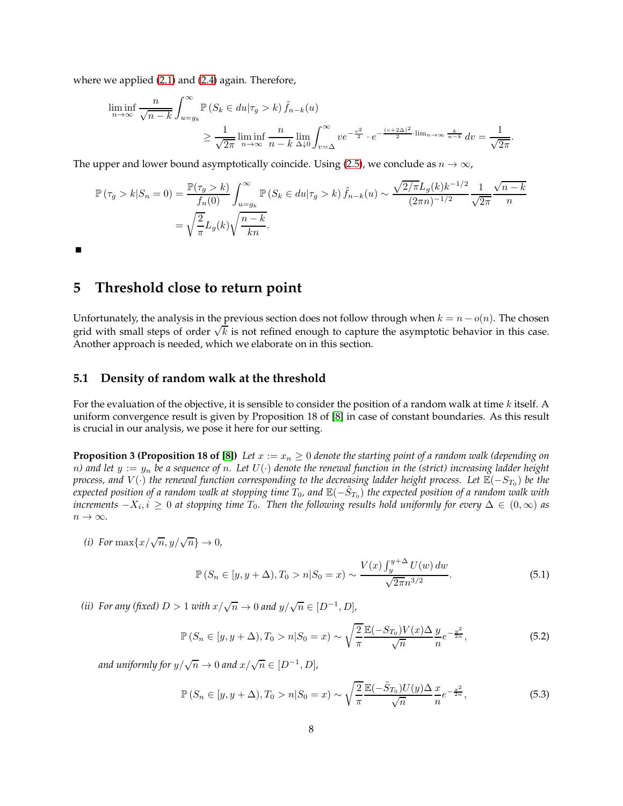where we applied [\(2.1\)](#page-2-1) and [\(2.4\)](#page-2-2) again. Therefore,

$$
\liminf_{n \to \infty} \frac{n}{\sqrt{n-k}} \int_{u=g_k}^{\infty} \mathbb{P}\left(S_k \in du | \tau_g > k\right) \tilde{f}_{n-k}(u)
$$
\n
$$
\geq \frac{1}{\sqrt{2\pi}} \liminf_{n \to \infty} \frac{n}{n-k} \lim_{\Delta \downarrow 0} \int_{v=\Delta}^{\infty} v e^{-\frac{v^2}{2}} \cdot e^{-\frac{(v+2\Delta)^2}{2} \cdot \lim_{n \to \infty} \frac{k}{n-k}} dv = \frac{1}{\sqrt{2\pi}}.
$$

The upper and lower bound asymptotically coincide. Using [\(2.5\)](#page-2-3), we conclude as  $n \to \infty$ ,

$$
\mathbb{P}(\tau_g > k | S_n = 0) = \frac{\mathbb{P}(\tau_g > k)}{f_n(0)} \int_{u = g_k}^{\infty} \mathbb{P}(S_k \in du | \tau_g > k) \tilde{f}_{n-k}(u) \sim \frac{\sqrt{2/\pi} L_g(k) k^{-1/2}}{(2\pi n)^{-1/2}} \frac{1}{\sqrt{2\pi}} \frac{\sqrt{n-k}}{n}
$$

$$
= \sqrt{\frac{2}{\pi}} L_g(k) \sqrt{\frac{n-k}{kn}}.
$$

<span id="page-7-0"></span> $\blacksquare$ 

### **5 Threshold close to return point**

Unfortunately, the analysis in the previous section does not follow through when  $k = n - o(n)$ . The chosen grid with small steps of order  $\sqrt{k}$  is not refined enough to capture the asymptotic behavior in this case. Another approach is needed, which we elaborate on in this section.

#### <span id="page-7-1"></span>**5.1 Density of random walk at the threshold**

For the evaluation of the objective, it is sensible to consider the position of a random walk at time k itself. A uniform convergence result is given by Proposition 18 of [\[8\]](#page-21-12) in case of constant boundaries. As this result is crucial in our analysis, we pose it here for our setting.

**Proposition 3 (Proposition 18 of [\[8\]](#page-21-12)**) *Let*  $x := x_n \geq 0$  *denote the starting point of a random walk (depending on*  $n$ ) and let  $y := y_n$  be a sequence of n. Let  $U(\cdot)$  denote the renewal function in the (strict) increasing ladder height *process, and V*(·) *the renewal function corresponding to the decreasing ladder height process. Let*  $\mathbb{E}(-S_{T_0})$  *be the*  $e$ xpected position of a random walk at stopping time  $T_0$ , and  $\mathbb{E}(-\tilde{S}_{T_0})$  the expected position of a random walk with *increments*  $-X_i, i ≥ 0$  at stopping time  $T_0$ . Then the following results hold uniformly for every  $\Delta ∈ (0, ∞)$  as  $n \to \infty$ .

(*i*) For  $\max\{x/\sqrt{n}, y/\sqrt{n}\} \to 0$ ,

<span id="page-7-4"></span><span id="page-7-2"></span>
$$
\mathbb{P}\left(S_n \in [y, y + \Delta), T_0 > n | S_0 = x\right) \sim \frac{V(x) \int_y^{y + \Delta} U(w) \, dw}{\sqrt{2\pi} n^{3/2}}.
$$
\n(5.1)

*(ii)* For any *(fixed)*  $D > 1$  *with*  $x/\sqrt{n} \to 0$  *and*  $y/\sqrt{n} \in [D^{-1}, D]$ *,* 

$$
\mathbb{P}\left(S_n \in [y, y + \Delta), T_0 > n | S_0 = x\right) \sim \sqrt{\frac{2}{\pi}} \frac{\mathbb{E}(-S_{T_0}) V(x) \Delta}{\sqrt{n}} \frac{y}{n} e^{-\frac{y^2}{2n}},\tag{5.2}
$$

and uniformly for  $y/\sqrt{n} \to 0$  and  $x/\sqrt{n} \in [D^{-1}, D]$ ,

<span id="page-7-3"></span>
$$
\mathbb{P}\left(S_n \in [y, y + \Delta), T_0 > n | S_0 = x\right) \sim \sqrt{\frac{2}{\pi}} \frac{\mathbb{E}(-\tilde{S}_{T_0}) U(y) \Delta}{\sqrt{n}} \frac{x}{n} e^{-\frac{x^2}{2n}},\tag{5.3}
$$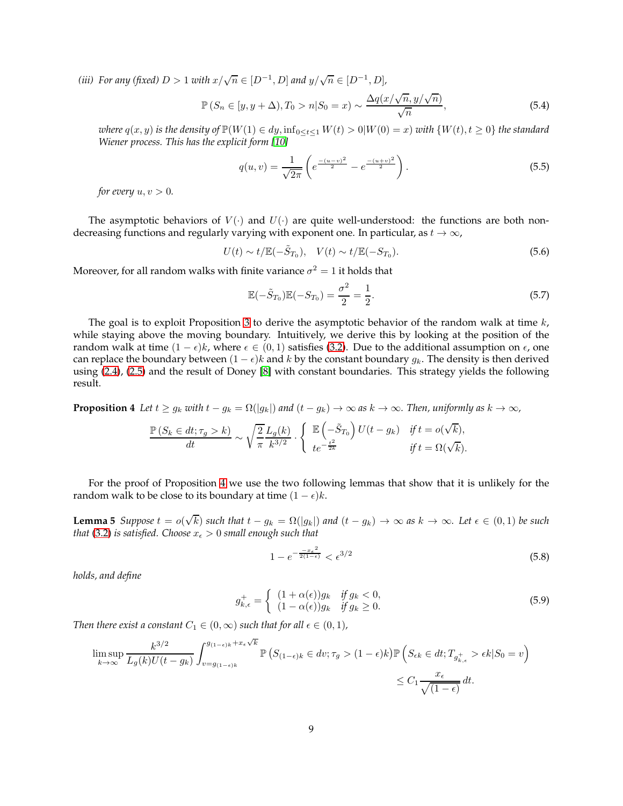*(iii)* For any *(fixed)*  $D > 1$  *with*  $x/\sqrt{n} \in [D^{-1}, D]$  *and*  $y/\sqrt{n} \in [D^{-1}, D]$ *,* 

$$
\mathbb{P}\left(S_n \in [y, y + \Delta), T_0 > n | S_0 = x\right) \sim \frac{\Delta q(x/\sqrt{n}, y/\sqrt{n})}{\sqrt{n}},\tag{5.4}
$$

*where*  $q(x, y)$  *is the density of*  $\mathbb{P}(W(1) \in dy, \inf_{0 \le t \le 1} W(t) > 0 | W(0) = x)$  *with*  $\{W(t), t \ge 0\}$  *the standard Wiener process. This has the explicit form [\[10\]](#page-21-13)*

<span id="page-8-0"></span>
$$
q(u,v) = \frac{1}{\sqrt{2\pi}} \left( e^{\frac{-(u-v)^2}{2}} - e^{\frac{-(u+v)^2}{2}} \right).
$$
 (5.5)

*for every*  $u, v > 0$ *.* 

The asymptotic behaviors of  $V(\cdot)$  and  $U(\cdot)$  are quite well-understood: the functions are both nondecreasing functions and regularly varying with exponent one. In particular, as  $t \to \infty$ ,

$$
U(t) \sim t/\mathbb{E}(-\tilde{S}_{T_0}), \quad V(t) \sim t/\mathbb{E}(-S_{T_0}).
$$
\n(5.6)

Moreover, for all random walks with finite variance  $\sigma^2=1$  it holds that

<span id="page-8-6"></span><span id="page-8-5"></span>
$$
\mathbb{E}(-\tilde{S}_{T_0})\mathbb{E}(-S_{T_0}) = \frac{\sigma^2}{2} = \frac{1}{2}.
$$
\n(5.7)

The goal is to exploit Proposition [3](#page-8-0) to derive the asymptotic behavior of the random walk at time  $k$ , while staying above the moving boundary. Intuitively, we derive this by looking at the position of the random walk at time  $(1 - \epsilon)k$ , where  $\epsilon \in (0, 1)$  satisfies [\(3.2\)](#page-3-1). Due to the additional assumption on  $\epsilon$ , one can replace the boundary between  $(1 - \epsilon)k$  and k by the constant boundary  $g_k$ . The density is then derived using [\(2.4\)](#page-2-2), [\(2.5\)](#page-2-3) and the result of Doney [\[8\]](#page-21-12) with constant boundaries. This strategy yields the following result.

<span id="page-8-1"></span>**Proposition 4** *Let*  $t \geq g_k$  *with*  $t - g_k = \Omega(|g_k|)$  *and*  $(t - g_k) \to \infty$  *as*  $k \to \infty$ *. Then, uniformly as*  $k \to \infty$ *,* 

$$
\frac{\mathbb{P}\left(S_k \in dt; \tau_g > k\right)}{dt} \sim \sqrt{\frac{2}{\pi}} \frac{L_g(k)}{k^{3/2}} \cdot \left\{ \begin{array}{l} \mathbb{E}\left(-\tilde{S}_{T_0}\right)U(t-g_k) \quad \text{if } t = o(\sqrt{k}), \\ te^{-\frac{t^2}{2k}} \quad \text{if } t = \Omega(\sqrt{k}). \end{array} \right.
$$

For the proof of Proposition [4](#page-8-1) we use the two following lemmas that show that it is unlikely for the random walk to be close to its boundary at time  $(1 - \epsilon)k$ .

**Lemma 5** Suppose  $t = o(\sqrt{k})$  such that  $t - g_k = \Omega(|g_k|)$  and  $(t - g_k) \to \infty$  as  $k \to \infty$ *. Let*  $\epsilon \in (0, 1)$  be such *that* [\(3.2\)](#page-3-1) *is satisfied. Choose*  $x_{\epsilon} > 0$  *small enough such that* 

<span id="page-8-3"></span><span id="page-8-2"></span>
$$
1 - e^{-\frac{-x_c^2}{2(1-\epsilon)}} < \epsilon^{3/2} \tag{5.8}
$$

*holds, and define*

$$
g_{k,\epsilon}^{+} = \begin{cases} (1+\alpha(\epsilon))g_k & \text{if } g_k < 0, \\ (1-\alpha(\epsilon))g_k & \text{if } g_k \ge 0. \end{cases}
$$
 (5.9)

*Then there exist a constant*  $C_1 \in (0, \infty)$  *such that for all*  $\epsilon \in (0, 1)$ *,* 

<span id="page-8-4"></span>
$$
\limsup_{k \to \infty} \frac{k^{3/2}}{L_g(k)U(t - g_k)} \int_{v = g_{(1 - \epsilon)k}}^{g_{(1 - \epsilon)k} + x_{\epsilon}\sqrt{k}} \mathbb{P}\left(S_{(1 - \epsilon)k} \in dv; \tau_g > (1 - \epsilon)k\right) \mathbb{P}\left(S_{\epsilon k} \in dt; T_{g_{k, \epsilon}^+} > \epsilon k | S_0 = v\right)
$$
  

$$
\leq C_1 \frac{x_{\epsilon}}{\sqrt{(1 - \epsilon)}} dt.
$$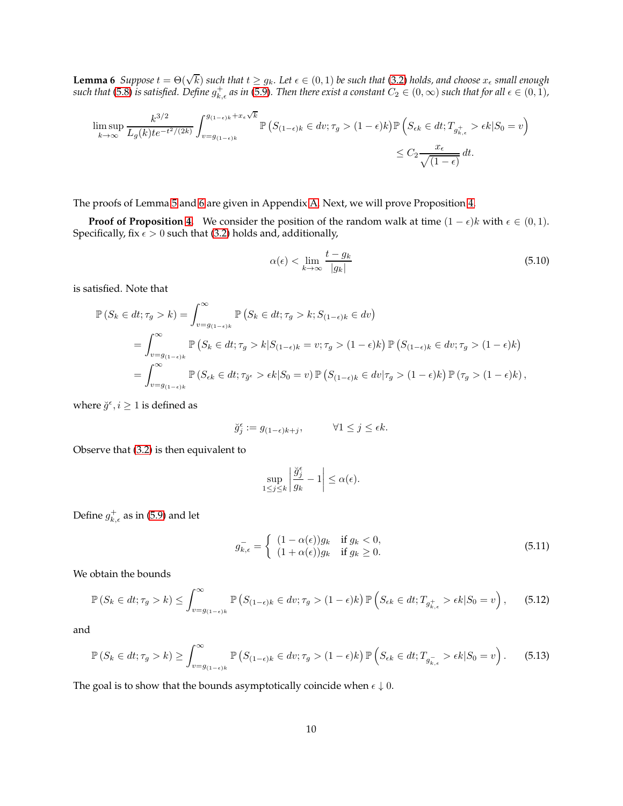**Lemma 6** *Suppose*  $t = \Theta(\sqrt{k})$  *such that*  $t \geq g_k$ *. Let*  $\epsilon \in (0,1)$  *be such that* [\(3.2\)](#page-3-1) *holds, and choose*  $x_{\epsilon}$  *small enough* such that [\(5.8\)](#page-8-2) is satisfied. Define  $g^+_{k,\epsilon}$  as in [\(5.9\)](#page-8-3). Then there exist a constant  $C_2\in(0,\infty)$  such that for all  $\epsilon\in(0,1)$ ,

$$
\limsup_{k \to \infty} \frac{k^{3/2}}{L_g(k)t e^{-t^2/(2k)}} \int_{v=g_{(1-\epsilon)k}}^{g_{(1-\epsilon)k}+x_{\epsilon}\sqrt{k}} \mathbb{P}\left(S_{(1-\epsilon)k} \in dv; \tau_g > (1-\epsilon)k\right) \mathbb{P}\left(S_{\epsilon k} \in dt; T_{g_{k,\epsilon}^+} > \epsilon k | S_0 = v\right)
$$
  

$$
\leq C_2 \frac{x_{\epsilon}}{\sqrt{(1-\epsilon)}} dt.
$$

The proofs of Lemma [5](#page-8-3) and [6](#page-8-4) are given in Appendix [A.](#page-17-0) Next, we will prove Proposition [4.](#page-8-1)

**Proof of Proposition [4.](#page-8-1)** We consider the position of the random walk at time  $(1 - \epsilon)k$  with  $\epsilon \in (0, 1)$ . Specifically, fix  $\epsilon > 0$  such that [\(3.2\)](#page-3-1) holds and, additionally,

<span id="page-9-1"></span>
$$
\alpha(\epsilon) < \lim_{k \to \infty} \frac{t - g_k}{|g_k|} \tag{5.10}
$$

is satisfied. Note that

$$
\mathbb{P}\left(S_k \in dt; \tau_g > k\right) = \int_{v=g_{(1-\epsilon)k}}^{\infty} \mathbb{P}\left(S_k \in dt; \tau_g > k; S_{(1-\epsilon)k} \in dv\right)
$$
  
\n
$$
= \int_{v=g_{(1-\epsilon)k}}^{\infty} \mathbb{P}\left(S_k \in dt; \tau_g > k | S_{(1-\epsilon)k} = v; \tau_g > (1-\epsilon)k\right) \mathbb{P}\left(S_{(1-\epsilon)k} \in dv; \tau_g > (1-\epsilon)k\right)
$$
  
\n
$$
= \int_{v=g_{(1-\epsilon)k}}^{\infty} \mathbb{P}\left(S_{\epsilon k} \in dt; \tau_{\check{g}^{\epsilon}} > \epsilon k | S_0 = v\right) \mathbb{P}\left(S_{(1-\epsilon)k} \in dv | \tau_g > (1-\epsilon)k\right) \mathbb{P}\left(\tau_g > (1-\epsilon)k\right),
$$

where  $\breve{g}^{\epsilon}, i \geq 1$  is defined as

$$
\breve{g}_j^\epsilon := g_{(1-\epsilon)k+j}, \qquad \quad \forall 1 \leq j \leq \epsilon k.
$$

Observe that [\(3.2\)](#page-3-1) is then equivalent to

<span id="page-9-2"></span><span id="page-9-0"></span>
$$
\sup_{1 \le j \le k} \left| \frac{\breve{g}_j^{\epsilon}}{g_k} - 1 \right| \le \alpha(\epsilon).
$$

Define  $g_{k,\epsilon}^+$  as in [\(5.9\)](#page-8-3) and let

$$
g_{k,\epsilon}^- = \begin{cases} (1 - \alpha(\epsilon))g_k & \text{if } g_k < 0, \\ (1 + \alpha(\epsilon))g_k & \text{if } g_k \ge 0. \end{cases}
$$
(5.11)

We obtain the bounds

$$
\mathbb{P}\left(S_k \in dt; \tau_g > k\right) \le \int_{v=g_{(1-\epsilon)k}}^{\infty} \mathbb{P}\left(S_{(1-\epsilon)k} \in dv; \tau_g > (1-\epsilon)k\right) \mathbb{P}\left(S_{\epsilon k} \in dt; T_{g_{k,\epsilon}^+} > \epsilon k | S_0 = v\right),\tag{5.12}
$$

and

$$
\mathbb{P}\left(S_k \in dt; \tau_g > k\right) \ge \int_{v=g_{(1-\epsilon)k}}^{\infty} \mathbb{P}\left(S_{(1-\epsilon)k} \in dv; \tau_g > (1-\epsilon)k\right) \mathbb{P}\left(S_{\epsilon k} \in dt; T_{g_{k,\epsilon}} > \epsilon k | S_0 = v\right). \tag{5.13}
$$

The goal is to show that the bounds asymptotically coincide when  $\epsilon \downarrow 0$ .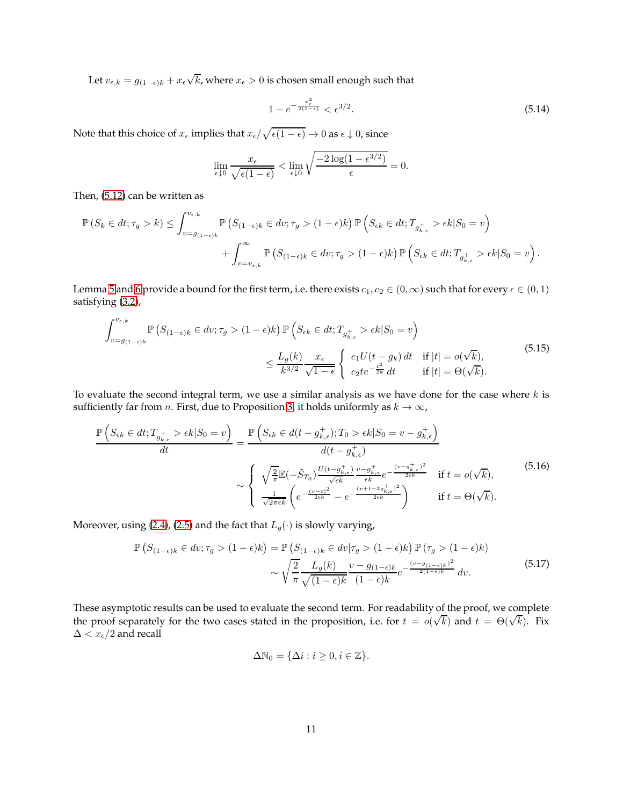Let  $v_{\epsilon,k} = g_{(1-\epsilon)k} + x_{\epsilon} \sqrt{k}$ , where  $x_{\epsilon} > 0$  is chosen small enough such that

<span id="page-10-2"></span>
$$
1 - e^{-\frac{x_{\epsilon}^2}{2(1 - \epsilon)}} < \epsilon^{3/2}.\tag{5.14}
$$

Note that this choice of  $x_\epsilon$  implies that  $x_\epsilon/\sqrt{\epsilon(1-\epsilon)} \to 0$  as  $\epsilon \downarrow 0$ , since

$$
\lim_{\epsilon \downarrow 0} \frac{x_{\epsilon}}{\sqrt{\epsilon (1 - \epsilon)}} < \lim_{\epsilon \downarrow 0} \sqrt{\frac{-2 \log(1 - \epsilon^{3/2})}{\epsilon}} = 0.
$$

Then, [\(5.12\)](#page-9-0) can be written as

$$
\mathbb{P}\left(S_k \in dt; \tau_g > k\right) \leq \int_{v=g_{(1-\epsilon)k}}^{v_{\epsilon,k}} \mathbb{P}\left(S_{(1-\epsilon)k} \in dv; \tau_g > (1-\epsilon)k\right) \mathbb{P}\left(S_{\epsilon k} \in dt; T_{g_{k,\epsilon}^+} > \epsilon k | S_0 = v\right) + \int_{v=v_{\epsilon,k}}^{\infty} \mathbb{P}\left(S_{(1-\epsilon)k} \in dv; \tau_g > (1-\epsilon)k\right) \mathbb{P}\left(S_{\epsilon k} \in dt; T_{g_{k,\epsilon}^+} > \epsilon k | S_0 = v\right).
$$

Lemma [5](#page-8-3) and [6](#page-8-4) provide a bound for the first term, i.e. there exists  $c_1, c_2 \in (0, \infty)$  such that for every  $\epsilon \in (0, 1)$ satisfying [\(3.2\)](#page-3-1),

$$
\int_{v=g_{(1-\epsilon)k}}^{v_{\epsilon,k}} \mathbb{P}\left(S_{(1-\epsilon)k} \in dv; \tau_g > (1-\epsilon)k\right) \mathbb{P}\left(S_{\epsilon k} \in dt; T_{g_{k,\epsilon}^+} > \epsilon k | S_0 = v\right)
$$
\n
$$
\leq \frac{L_g(k)}{k^{3/2}} \frac{x_{\epsilon}}{\sqrt{1-\epsilon}} \begin{cases} c_1 U(t-g_k) dt & \text{if } |t| = o(\sqrt{k}),\\ c_2 t e^{-\frac{t^2}{2k}} dt & \text{if } |t| = \Theta(\sqrt{k}). \end{cases} (5.15)
$$

To evaluate the second integral term, we use a similar analysis as we have done for the case where  $k$  is sufficiently far from *n*. First, due to Proposition [3,](#page-8-0) it holds uniformly as  $k \to \infty$ ,

$$
\frac{\mathbb{P}\left(S_{\epsilon k}\in dt; T_{g_{k,\epsilon}^{+}} > \epsilon k | S_{0} = v\right)}{dt} = \frac{\mathbb{P}\left(S_{\epsilon k}\in d(t-g_{k,\epsilon}^{+}); T_{0} > \epsilon k | S_{0} = v - g_{k,\epsilon}^{+}\right)}{d(t-g_{k,\epsilon}^{+})}
$$
\n
$$
\sim \begin{cases}\n\sqrt{\frac{2}{\pi}} \mathbb{E}(-\tilde{S}_{T_{0}}) \frac{U(t-g_{k,\epsilon}^{+})}{\sqrt{\epsilon k}} \frac{v - g_{k,\epsilon}^{+}}{\epsilon k} e^{-\frac{(v - g_{k,\epsilon}^{+})^{2}}{2\epsilon k}} & \text{if } t = o(\sqrt{k}), \\
\frac{1}{\sqrt{2\pi\epsilon k}} \left(e^{-\frac{(v - t)^{2}}{2\epsilon k}} - e^{-\frac{(v + t - 2g_{k,\epsilon}^{+})^{2}}{2\epsilon k}}\right) & \text{if } t = \Theta(\sqrt{k}).\n\end{cases}
$$
\n(5.16)

Moreover, using [\(2.4\)](#page-2-2), [\(2.5\)](#page-2-3) and the fact that  $L_g(\cdot)$  is slowly varying,

$$
\mathbb{P}\left(S_{(1-\epsilon)k} \in dv; \tau_g > (1-\epsilon)k\right) = \mathbb{P}\left(S_{(1-\epsilon)k} \in dv | \tau_g > (1-\epsilon)k\right) \mathbb{P}\left(\tau_g > (1-\epsilon)k\right) \\
\sim \sqrt{\frac{2}{\pi}} \frac{L_g(k)}{\sqrt{(1-\epsilon)k}} \frac{v - g_{(1-\epsilon)k}}{(1-\epsilon)k} e^{-\frac{(v-g_{(1-\epsilon)k})^2}{2(1-\epsilon)k}} dv. \tag{5.17}
$$

These asymptotic results can be used to evaluate the second term. For readability of the proof, we complete the proof separately for the two cases stated in the proposition, i.e. for  $t = o(\sqrt{k})$  and  $t = \Theta(\sqrt{k})$ . Fix  $\Delta < x_{\epsilon}/2$  and recall

<span id="page-10-1"></span><span id="page-10-0"></span>
$$
\Delta\mathbb{N}_0=\{\Delta i: i\geq 0, i\in\mathbb{Z}\}.
$$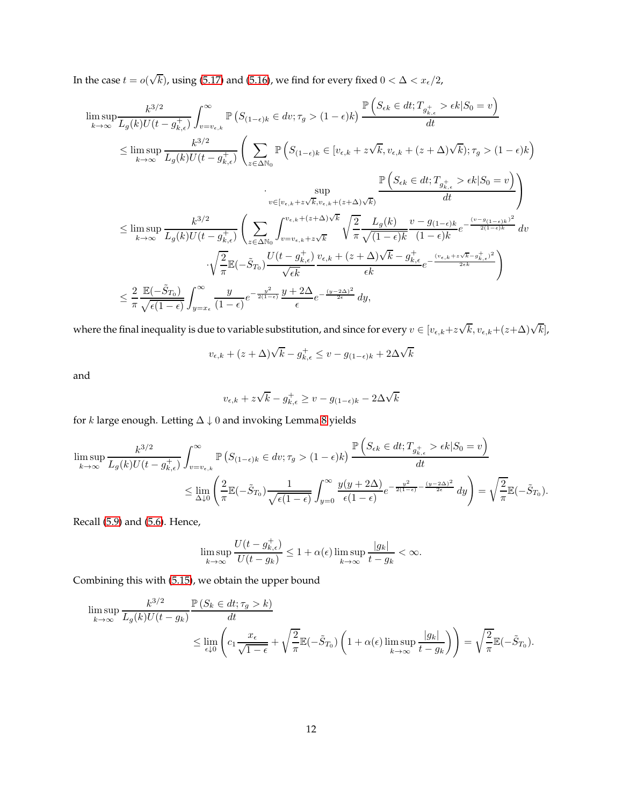In the case  $t = o(\sqrt{k})$ , using [\(5.17\)](#page-10-0) and [\(5.16\)](#page-10-1), we find for every fixed  $0 < \Delta < x_{\epsilon}/2$ ,

lim sup k→∞ k 3/2 Lg(k)U(t − g + k,ǫ) Z <sup>∞</sup> v=vǫ,k P S(1−ǫ)<sup>k</sup> ∈ dv; τ<sup>g</sup> > (1 − ǫ)k P Sǫk ∈ dt; T<sup>g</sup> + k,ǫ > ǫk|S<sup>0</sup> = v dt ≤ lim sup k→∞ k 3/2 Lg(k)U(t − g + k,ǫ) X <sup>z</sup>∈∆N<sup>0</sup> P S(1−ǫ)<sup>k</sup> ∈ [vǫ,k + z √ k, vǫ,k + (<sup>z</sup> + ∆)<sup>√</sup> k); τ<sup>g</sup> > (1 − ǫ)k · sup v∈[vǫ,k+z √ k,vǫ,k+(z+∆)<sup>√</sup> k) P Sǫk ∈ dt; T<sup>g</sup> + k,ǫ > ǫk|S<sup>0</sup> = v dt ≤ lim sup k→∞ k 3/2 Lg(k)U(t − g + k,ǫ) X <sup>z</sup>∈∆N<sup>0</sup> <sup>Z</sup> <sup>v</sup>ǫ,k+(z+∆)<sup>√</sup> k v=vǫ,k+z √ k r 2 π Lg(k) p (1 − ǫ)k v − g(1−ǫ)<sup>k</sup> (1 − ǫ)k e − (v−g(1−ǫ)<sup>k</sup> ) 2 2(1−ǫ)<sup>k</sup> dv · r 2 π <sup>E</sup>(−S˜ T<sup>0</sup> ) U(t − g + k,ǫ) √ ǫk <sup>v</sup>ǫ,k + (<sup>z</sup> + ∆)<sup>√</sup> k − g + k,ǫ ǫk <sup>e</sup> − (vǫ,k+z √ <sup>k</sup>−g<sup>+</sup> k,ǫ) 2 <sup>2</sup>ǫk ! ≤ 2 π <sup>E</sup>(−S˜ T<sup>0</sup> ) p ǫ(1 − ǫ) Z <sup>∞</sup> y=x<sup>ǫ</sup> y (1 − ǫ) e − y 2 2(1−ǫ) y + 2∆ ǫ e − (y−2∆)2 <sup>2</sup><sup>ǫ</sup> dy,

where the final inequality is due to variable substitution, and since for every  $v\in[v_{\epsilon,k}+z\sqrt{k},v_{\epsilon,k}+(z+\Delta)\sqrt{k}],$ 

$$
v_{\epsilon,k} + (z + \Delta)\sqrt{k} - g_{k,\epsilon}^+ \le v - g_{(1-\epsilon)k} + 2\Delta\sqrt{k}
$$

and

$$
v_{\epsilon,k} + z\sqrt{k} - g_{k,\epsilon}^+ \ge v - g_{(1-\epsilon)k} - 2\Delta\sqrt{k}
$$

for k large enough. Letting  $\Delta \downarrow 0$  and invoking Lemma [8](#page-19-0) yields

$$
\limsup_{k \to \infty} \frac{k^{3/2}}{L_g(k)U(t - g_{k,\epsilon}^+)} \int_{v=v_{\epsilon,k}}^{\infty} \mathbb{P}\left(S_{(1-\epsilon)k} \in dv; \tau_g > (1-\epsilon)k\right) \frac{\mathbb{P}\left(S_{\epsilon k} \in dt; T_{g_{k,\epsilon}^+} > \epsilon k | S_0 = v\right)}{dt}
$$
\n
$$
\leq \lim_{\Delta \downarrow 0} \left(\frac{2}{\pi} \mathbb{E}(-\tilde{S}_{T_0}) \frac{1}{\sqrt{\epsilon(1-\epsilon)}} \int_{y=0}^{\infty} \frac{y(y+2\Delta)}{\epsilon(1-\epsilon)} e^{-\frac{y^2}{2(1-\epsilon)} - \frac{(y-2\Delta)^2}{2\epsilon}} dy\right) = \sqrt{\frac{2}{\pi}} \mathbb{E}(-\tilde{S}_{T_0}).
$$

Recall [\(5.9\)](#page-8-3) and [\(5.6\)](#page-8-5). Hence,

$$
\limsup_{k \to \infty} \frac{U(t - g_{k,\epsilon}^+)}{U(t - g_k)} \le 1 + \alpha(\epsilon) \limsup_{k \to \infty} \frac{|g_k|}{t - g_k} < \infty.
$$

Combining this with [\(5.15\)](#page-10-2), we obtain the upper bound

$$
\limsup_{k \to \infty} \frac{k^{3/2}}{L_g(k)U(t - g_k)} \frac{\mathbb{P}(S_k \in dt; \tau_g > k)}{dt}
$$
\n
$$
\leq \lim_{\epsilon \downarrow 0} \left( c_1 \frac{x_{\epsilon}}{\sqrt{1 - \epsilon}} + \sqrt{\frac{2}{\pi}} \mathbb{E}(-\tilde{S}_{T_0}) \left( 1 + \alpha(\epsilon) \limsup_{k \to \infty} \frac{|g_k|}{t - g_k} \right) \right) = \sqrt{\frac{2}{\pi}} \mathbb{E}(-\tilde{S}_{T_0}).
$$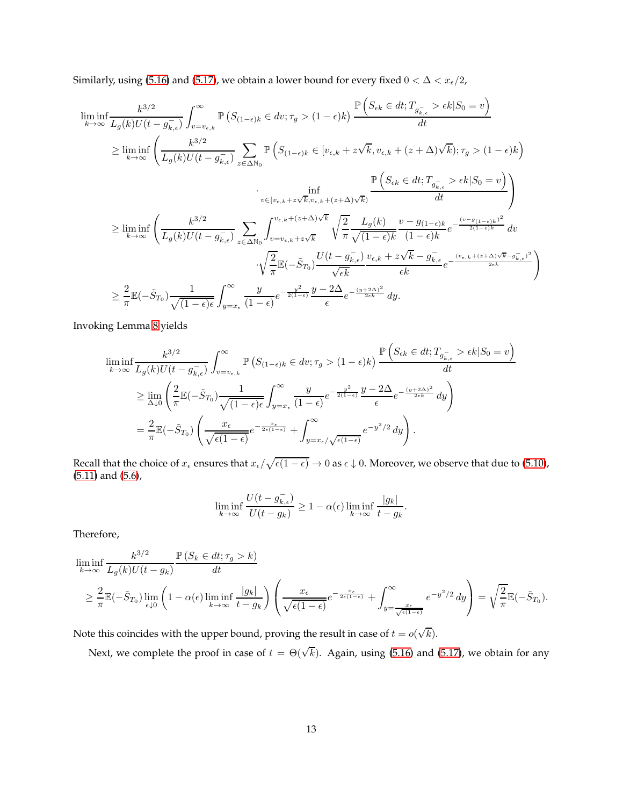Similarly, using [\(5.16\)](#page-10-1) and [\(5.17\)](#page-10-0), we obtain a lower bound for every fixed  $0 < \Delta < x_{\epsilon}/2$ ,

$$
\begin{split} &\liminf_{k\rightarrow\infty}\frac{k^{3/2}}{L_g(k)U(t-g_{k,\epsilon}^-)}\int_{v=v_{\epsilon,k}}^{\infty}\mathbb{P}\left(S_{(1-\epsilon)k}\in dv;\tau_g>(1-\epsilon)k\right)\frac{\mathbb{P}\left(S_{\epsilon k}\in dt;T_{g_{k,\epsilon}^-}> \epsilon k|S_0=v\right)}{dt}\\ &\geq \liminf_{k\rightarrow\infty}\left(\frac{k^{3/2}}{L_g(k)U(t-g_{k,\epsilon}^-)}\sum_{z\in\Delta\mathbb{N}_0}\mathbb{P}\left(S_{(1-\epsilon)k}\in[v_{\epsilon,k}+z\sqrt{k},v_{\epsilon,k}+(z+\Delta)\sqrt{k});\tau_g>(1-\epsilon)k\right)\right.\\ &\qquad\qquad \left. \lim_{v\in[v_{\epsilon,k}+z\sqrt{k},v_{\epsilon,k}+(z+\Delta)\sqrt{k}\right)}\frac{\mathbb{P}\left(S_{\epsilon k}\in dt;T_{g_{k,\epsilon}^-}> \epsilon k|S_0=v\right)}{dt}\\ &\geq \liminf_{k\rightarrow\infty}\left(\frac{k^{3/2}}{L_g(k)U(t-g_{k,\epsilon}^-)}\sum_{z\in\Delta\mathbb{N}_0}\int_{v=v_{\epsilon,k}+z\sqrt{k}}^{v_{\epsilon,k}+(z+\Delta)\sqrt{k}}\sqrt{\frac{2}{\pi}}\frac{L_g(k)}{\sqrt{(1-\epsilon)k}}\frac{v-g_{(1-\epsilon)k}}{(1-\epsilon)k}e^{-\frac{(v-g_{(1-\epsilon)k})^2}{2(1-\epsilon)k}}\frac{dv}{dt}\\ &\qquad\qquad\cdot\sqrt{\frac{2}{\pi}}\mathbb{E}(-\tilde{S}_{T_0})\frac{U(t-g_{k,\epsilon}^-)}{\sqrt{\epsilon k}}\frac{v_{\epsilon,k}+z\sqrt{k}-g_{k,\epsilon}^-}{\epsilon k}e^{-\frac{(v_{\epsilon,k}+(z+\Delta)\sqrt{k}-g_{k,\epsilon}^-)^2}{2\epsilon k}}\right)\\ &\geq \frac{2}{\pi}\mathbb{E}(-\tilde{S}_{T_0})\frac{1}{\sqrt{(1-\epsilon)\epsilon}}\int_{y=x_{\epsilon}}^{\infty}\frac{y}{\sqrt{\epsilon}}e^{-\frac{y^2}{2(1-\epsilon)}}\frac{y-2\Delta}{\epsilon}e^{-\frac{(y+2\Delta)^2}{2\epsilon k}}\,dy. \end{split}
$$

Invoking Lemma [8](#page-19-0) yields

$$
\liminf_{k \to \infty} \frac{k^{3/2}}{L_g(k)U(t - g_{k,\epsilon}^-)} \int_{v=v_{\epsilon,k}}^{\infty} \mathbb{P}\left(S_{(1-\epsilon)k} \in dv; \tau_g > (1-\epsilon)k\right) \frac{\mathbb{P}\left(S_{\epsilon k} \in dt; T_{g_{k,\epsilon}} > \epsilon k | S_0 = v\right)}{dt}
$$
\n
$$
\geq \lim_{\Delta \downarrow 0} \left(\frac{2}{\pi} \mathbb{E}(-\tilde{S}_{T_0}) \frac{1}{\sqrt{(1-\epsilon)\epsilon}} \int_{y=x_{\epsilon}}^{\infty} \frac{y}{(1-\epsilon)} e^{-\frac{y^2}{2(1-\epsilon)}} \frac{y - 2\Delta}{\epsilon} e^{-\frac{(y+2\Delta)^2}{2\epsilon k}} dy\right)
$$
\n
$$
= \frac{2}{\pi} \mathbb{E}(-\tilde{S}_{T_0}) \left(\frac{x_{\epsilon}}{\sqrt{\epsilon(1-\epsilon)}} e^{-\frac{x_{\epsilon}}{2\epsilon(1-\epsilon)}} + \int_{y=x_{\epsilon}/\sqrt{\epsilon(1-\epsilon)}}^{\infty} e^{-y^2/2} dy\right).
$$

Recall that the choice of  $x_{\epsilon}$  ensures that  $x_{\epsilon}/\sqrt{\epsilon(1-\epsilon)} \to 0$  as  $\epsilon \downarrow 0$ . Moreover, we observe that due to [\(5.10\)](#page-9-1), [\(5.11\)](#page-9-2) and [\(5.6\)](#page-8-5),

$$
\liminf_{k \to \infty} \frac{U(t - g_{k,\epsilon}^{-})}{U(t - g_k)} \ge 1 - \alpha(\epsilon) \liminf_{k \to \infty} \frac{|g_k|}{t - g_k}.
$$

Therefore,

$$
\liminf_{k \to \infty} \frac{k^{3/2}}{L_g(k)U(t - g_k)} \frac{\mathbb{P}\left(S_k \in dt; \tau_g > k\right)}{dt}
$$
\n
$$
\geq \frac{2}{\pi} \mathbb{E}\left(-\tilde{S}_{T_0}\right) \lim_{\epsilon \downarrow 0} \left(1 - \alpha(\epsilon) \liminf_{k \to \infty} \frac{|g_k|}{t - g_k}\right) \left(\frac{x_{\epsilon}}{\sqrt{\epsilon(1 - \epsilon)}} e^{-\frac{x_{\epsilon}}{2\epsilon(1 - \epsilon)}} + \int_{y = \frac{x_{\epsilon}}{\sqrt{\epsilon(1 - \epsilon)}}}^{\infty} e^{-y^2/2} dy\right) = \sqrt{\frac{2}{\pi}} \mathbb{E}\left(-\tilde{S}_{T_0}\right).
$$

Note this coincides with the upper bound, proving the result in case of  $t = o(\sqrt{k})$ .

Next, we complete the proof in case of  $t = \Theta(\sqrt{k})$ . Again, using [\(5.16\)](#page-10-1) and [\(5.17\)](#page-10-0), we obtain for any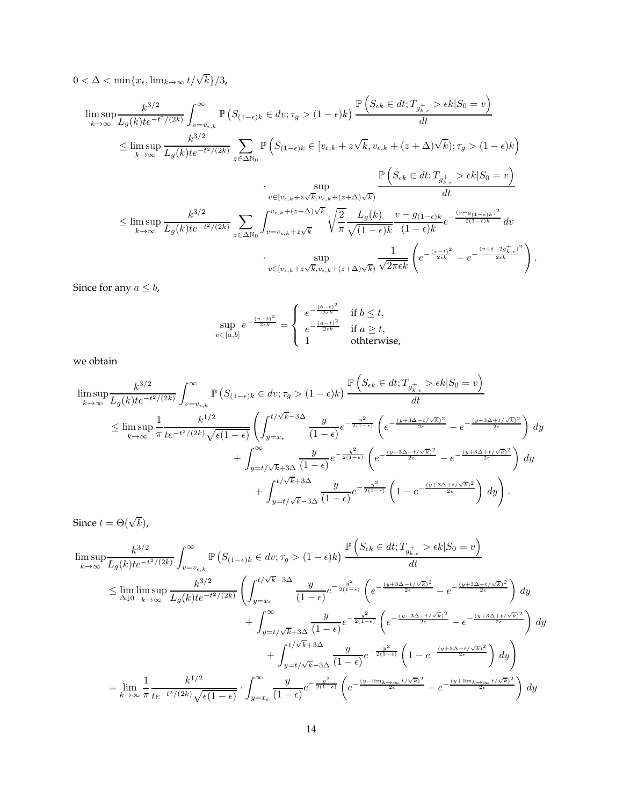$0 < \Delta < \min\{x_{\epsilon}, \lim_{k \to \infty} t/\sqrt{k}\}/3$ ,

$$
\limsup_{k \to \infty} \frac{k^{3/2}}{L_g(k)t e^{-t^2/(2k)}} \int_{v=v_{\epsilon,k}}^{\infty} \mathbb{P}\left(S_{(1-\epsilon)k} \in dv; \tau_g > (1-\epsilon)k\right) \frac{\mathbb{P}\left(S_{\epsilon k} \in dt; T_{g_{k,\epsilon}^+} > \epsilon k | S_0 = v\right)}{dt}
$$
\n
$$
\leq \limsup_{k \to \infty} \frac{k^{3/2}}{L_g(k)t e^{-t^2/(2k)}} \sum_{z \in \Delta \mathbb{N}_0} \mathbb{P}\left(S_{(1-\epsilon)k} \in [v_{\epsilon,k} + z\sqrt{k}, v_{\epsilon,k} + (z+\Delta)\sqrt{k}); \tau_g > (1-\epsilon)k\right)
$$
\n
$$
\leq \limsup_{k \to \infty} \frac{\mathbb{P}\left(S_{\epsilon k} \in dt; T_{g_{k,\epsilon}^+} > \epsilon k | S_0 = v\right)}{L_g(k)t e^{-t^2/(2k)}} \sum_{z \in \Delta \mathbb{N}_0} \int_{v=v_{\epsilon,k} + z\sqrt{k}}^{v_{\epsilon,k} + (z+\Delta)\sqrt{k}} \sqrt{\frac{2}{\pi}} \frac{L_g(k)}{\sqrt{(1-\epsilon)k}} \frac{v - g_{(1-\epsilon)k}}{(1-\epsilon)k} e^{-\frac{(v - g_{(1-\epsilon)k})^2}{2(1-\epsilon)k}} dv
$$
\n
$$
\leq \limsup_{k \to \infty} \frac{k^{3/2}}{L_g(k)t e^{-t^2/(2k)}} \sum_{z \in \Delta \mathbb{N}_0} \int_{v=v_{\epsilon,k} + z\sqrt{k}}^{v_{\epsilon,k} + (z+\Delta)\sqrt{k}} \sqrt{\frac{2}{\pi}} \frac{L_g(k)}{\sqrt{(1-\epsilon)k}} \frac{v - g_{(1-\epsilon)k}}{(1-\epsilon)k} e^{-\frac{(v - t)^2}{2(1-\epsilon)k}} - e^{-\frac{(v + t - 2g_{k,\epsilon}^+)^2}{2\epsilon k}} ds
$$

Since for any  $a\leq b,$ 

$$
\sup_{v \in [a,b]} e^{-\frac{(v-t)^2}{2\epsilon k}} = \begin{cases} e^{-\frac{(b-t)^2}{2\epsilon k}} & \text{if } b \leq t, \\ e^{-\frac{(a-t)^2}{2\epsilon k}} & \text{if } a \geq t, \\ 1 & \text{otherwise,} \end{cases}
$$

we obtain

$$
\limsup_{k \to \infty} \frac{k^{3/2}}{L_g(k)t e^{-t^2/(2k)}} \int_{v=v_{\epsilon,k}}^{\infty} \mathbb{P}\left(S_{(1-\epsilon)k} \in dv; \tau_g > (1-\epsilon)k\right) \frac{\mathbb{P}\left(S_{\epsilon k} \in dt; T_{g_{k,\epsilon}^+} > \epsilon k | S_0 = v\right)}{dt}
$$
\n
$$
\leq \limsup_{k \to \infty} \frac{1}{\pi} \frac{k^{1/2}}{t e^{-t^2/(2k)} \sqrt{\epsilon (1-\epsilon)}} \left(\int_{y=x_{\epsilon}}^{t/\sqrt{k}-3\Delta} \frac{y}{(1-\epsilon)} e^{-\frac{y^2}{2(1-\epsilon)}} \left(e^{-\frac{(y+3\Delta-t/\sqrt{k})^2}{2\epsilon}} - e^{-\frac{(y+3\Delta+t/\sqrt{k})^2}{2\epsilon}}\right) dy + \int_{y=t/\sqrt{k}+3\Delta}^{y} \frac{y}{(1-\epsilon)} e^{-\frac{y^2}{2(1-\epsilon)}} \left(e^{-\frac{(y-3\Delta-t/\sqrt{k})^2}{2\epsilon}} - e^{-\frac{(y+3\Delta+t/\sqrt{k})^2}{2\epsilon}}\right) dy + \int_{y=t/\sqrt{k}-3\Delta}^{t/\sqrt{k}+3\Delta} \frac{y}{(1-\epsilon)} e^{-\frac{y^2}{2(1-\epsilon)}} \left(1 - e^{-\frac{(y+3\Delta+t/\sqrt{k})^2}{2\epsilon}}\right) dy\right).
$$

Since  $t = \Theta(\sqrt{k})$ ,

$$
\limsup_{k \to \infty} \frac{k^{3/2}}{L_g(k)te^{-t^2/(2k)}} \int_{v=v_{\epsilon,k}}^{\infty} \mathbb{P}\left(S_{(1-\epsilon)k} \in dv; \tau_g > (1-\epsilon)k\right) \frac{\mathbb{P}\left(S_{\epsilon k} \in dt; T_{g_{k,\epsilon}^+} > \epsilon k | S_0 = v\right)}{dt}
$$
\n
$$
\leq \lim_{\Delta \downarrow 0} \limsup_{k \to \infty} \frac{k^{3/2}}{L_g(k)te^{-t^2/(2k)}} \left( \int_{y=x_{\epsilon}}^{t/\sqrt{k}-3\Delta} \frac{y}{(1-\epsilon)} e^{-\frac{y^2}{2(1-\epsilon)}} \left( e^{-\frac{(y+3\Delta-t/\sqrt{k})^2}{2\epsilon}} - e^{-\frac{(y+3\Delta+t/\sqrt{k})^2}{2\epsilon}} \right) dy + \int_{y=t/\sqrt{k}+3\Delta}^{\infty} \frac{y}{(1-\epsilon)} e^{-\frac{y^2}{2(1-\epsilon)}} \left( e^{-\frac{(y-3\Delta-t/\sqrt{k})^2}{2\epsilon}} - e^{-\frac{(y+3\Delta+t/\sqrt{k})^2}{2\epsilon}} \right) dy + \int_{y=t/\sqrt{k}+3\Delta}^{\frac{t}{2}(1-\epsilon)} \frac{y}{(1-\epsilon)} e^{-\frac{y^2}{2(1-\epsilon)}} \left( 1 - e^{-\frac{(y+3\Delta+t/\sqrt{k})^2}{2\epsilon}} \right) dy + \int_{y=t/\sqrt{k}-3\Delta}^{\frac{t}{2}(1-\epsilon)} \frac{y}{(1-\epsilon)} e^{-\frac{y^2}{2(1-\epsilon)}} \left( 1 - e^{-\frac{(y+3\Delta+t/\sqrt{k})^2}{2\epsilon}} \right) dy \right)
$$
\n
$$
= \lim_{k \to \infty} \frac{1}{\pi} \frac{k^{1/2}}{te^{-t^2/(2k)}\sqrt{\epsilon(1-\epsilon)}} \cdot \int_{y=x_{\epsilon}}^{\infty} \frac{y}{(1-\epsilon)} e^{-\frac{y^2}{2(1-\epsilon)}} \left( e^{-\frac{(y-\lim_{k \to \infty} t/\sqrt{k})^2}{2\epsilon}} - e^{-\frac{(y+\lim_{k \to \infty} t/\sqrt{k})^2}{2\epsilon}} \right) dy
$$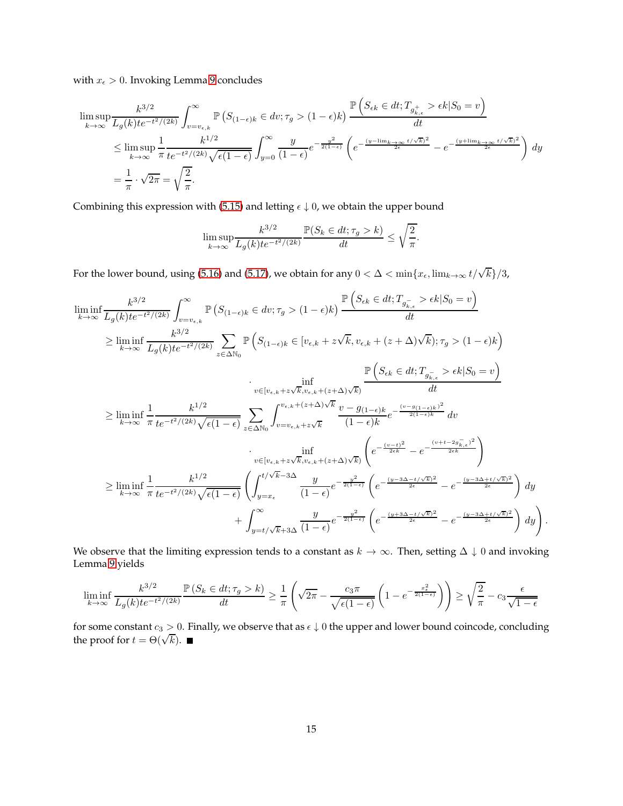with  $x_{\epsilon} > 0$ . Invoking Lemma [9](#page-19-1) concludes

$$
\limsup_{k \to \infty} \frac{k^{3/2}}{L_g(k) t e^{-t^2/(2k)}} \int_{v=v_{\epsilon,k}}^{\infty} \mathbb{P}\left(S_{(1-\epsilon)k} \in dv; \tau_g > (1-\epsilon)k\right) \frac{\mathbb{P}\left(S_{\epsilon k} \in dt; T_{g_{k,\epsilon}^+} > \epsilon k | S_0 = v\right)}{dt}
$$
\n
$$
\leq \limsup_{k \to \infty} \frac{1}{\pi} \frac{k^{1/2}}{t e^{-t^2/(2k)} \sqrt{\epsilon (1-\epsilon)}} \int_{y=0}^{\infty} \frac{y}{(1-\epsilon)} e^{-\frac{y^2}{2(1-\epsilon)}} \left(e^{-\frac{(y-\lim_{k \to \infty} t/\sqrt{k})^2}{2\epsilon}} - e^{-\frac{(y+\lim_{k \to \infty} t/\sqrt{k})^2}{2\epsilon}}\right) dy
$$
\n
$$
= \frac{1}{\pi} \cdot \sqrt{2\pi} = \sqrt{\frac{2}{\pi}}.
$$

Combining this expression with [\(5.15\)](#page-10-2) and letting  $\epsilon \downarrow 0$ , we obtain the upper bound

$$
\limsup_{k \to \infty} \frac{k^{3/2}}{L_g(k)t e^{-t^2/(2k)}} \frac{\mathbb{P}(S_k \in dt; \tau_g > k)}{dt} \le \sqrt{\frac{2}{\pi}}.
$$

For the lower bound, using [\(5.16\)](#page-10-1) and [\(5.17\)](#page-10-0), we obtain for any  $0<\Delta<\min\{x_\epsilon,\lim_{k\to\infty}t/\sqrt{k}\}/3$ ,

$$
\liminf_{k \to \infty} \frac{k^{3/2}}{L_g(k)t e^{-t^2/(2k)}} \int_{v=v_{\epsilon,k}}^{\infty} \mathbb{P}\left(S_{(1-\epsilon)k} \in dv; \tau_g > (1-\epsilon)k\right) \frac{\mathbb{P}\left(S_{\epsilon k} \in dt; T_{g_{\overline{k},\epsilon}} > \epsilon k | S_0 = v\right)}{dt}
$$
\n
$$
\geq \liminf_{k \to \infty} \frac{k^{3/2}}{L_g(k)t e^{-t^2/(2k)}} \sum_{z \in \Delta \mathbb{N}_0} \mathbb{P}\left(S_{(1-\epsilon)k} \in [v_{\epsilon,k} + z\sqrt{k}, v_{\epsilon,k} + (z+\Delta)\sqrt{k}); \tau_g > (1-\epsilon)k\right)
$$
\n
$$
\cdot \inf_{v \in [v_{\epsilon,k} + z\sqrt{k}, v_{\epsilon,k} + (z+\Delta)\sqrt{k})} \frac{\mathbb{P}\left(S_{\epsilon k} \in dt; T_{g_{\overline{k},\epsilon}} > \epsilon k | S_0 = v\right)}{dt}
$$
\n
$$
\geq \liminf_{k \to \infty} \frac{1}{\pi} \frac{k^{1/2}}{te^{-t^2/(2k)}\sqrt{\epsilon(1-\epsilon)}} \sum_{z \in \Delta \mathbb{N}_0} \int_{v=v_{\epsilon,k} + z\sqrt{k}}^{v_{\epsilon,k} + (z+\Delta)\sqrt{k}} \frac{v - g_{(1-\epsilon)k}}{(1-\epsilon)k} e^{-\frac{(v-g_{(1-\epsilon)k})^2}{2(1-\epsilon)k}} dv
$$
\n
$$
\cdot \inf_{v \in [v_{\epsilon,k} + z\sqrt{k}, v_{\epsilon,k} + (z+\Delta)\sqrt{k})} \left(e^{-\frac{(v-t)^2}{2\epsilon k}} - e^{-\frac{(v+t-2g_{\overline{k},\epsilon})^2}{2\epsilon k}}\right)
$$
\n
$$
\geq \liminf_{k \to \infty} \frac{1}{\pi} \frac{k^{1/2}}{te^{-t^2/(2k)}\sqrt{\epsilon(1-\epsilon)}} \left(\int_{y=x_{\epsilon}}^{t/\sqrt{k}-3\Delta} \frac{y}{(1-\epsilon)} e^{-\frac{y^2}{2(1-\epsilon)}} \left(e^{-\frac{(y-3\Delta-t/\sqrt{k})^2}{2\epsilon}} - e^{-\frac{(y-3\Delta+t/\sqrt{k})^2}{2\epsilon}}\right) dy\right) + \int_{y=t/\sqrt{k}+3\Delta}^{\
$$

We observe that the limiting expression tends to a constant as  $k \to \infty$ . Then, setting  $\Delta \downarrow 0$  and invoking Lemma [9](#page-19-1) yields

$$
\liminf_{k \to \infty} \frac{k^{3/2}}{L_g(k)t e^{-t^2/(2k)}} \frac{\mathbb{P}\left(S_k \in dt; \tau_g > k\right)}{dt} \ge \frac{1}{\pi} \left(\sqrt{2\pi} - \frac{c_3 \pi}{\sqrt{\epsilon(1-\epsilon)}} \left(1 - e^{-\frac{x_{\epsilon}^2}{2(1-\epsilon)}}\right)\right) \ge \sqrt{\frac{2}{\pi}} - c_3 \frac{\epsilon}{\sqrt{1-\epsilon}}
$$

for some constant  $c_3 > 0$ . Finally, we observe that as  $\epsilon \downarrow 0$  the upper and lower bound coincode, concluding the proof for  $t = \Theta(\sqrt{k}).$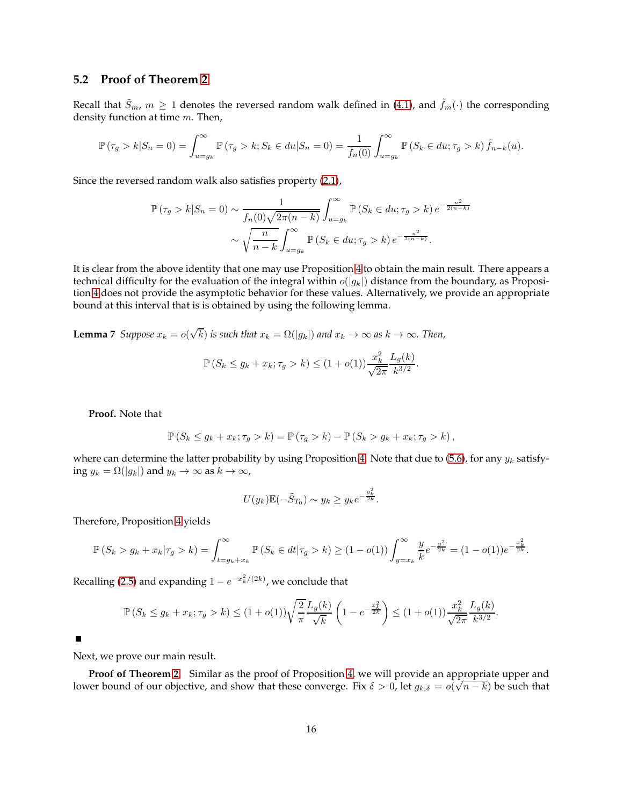#### **5.2 Proof of Theorem [2](#page-3-2)**

Recall that  $S_m$ ,  $m \geq 1$  denotes the reversed random walk defined in [\(4.1\)](#page-5-1), and  $f_m(\cdot)$  the corresponding density function at time  $m$ . Then,

$$
\mathbb{P}(\tau_g > k | S_n = 0) = \int_{u = g_k}^{\infty} \mathbb{P}(\tau_g > k; S_k \in du | S_n = 0) = \frac{1}{f_n(0)} \int_{u = g_k}^{\infty} \mathbb{P}(S_k \in du; \tau_g > k) \tilde{f}_{n-k}(u).
$$

Since the reversed random walk also satisfies property [\(2.1\)](#page-2-1),

$$
\mathbb{P}(\tau_g > k | S_n = 0) \sim \frac{1}{f_n(0)\sqrt{2\pi(n-k)}} \int_{u=g_k}^{\infty} \mathbb{P}(S_k \in du; \tau_g > k) e^{-\frac{u^2}{2(n-k)}}
$$

$$
\sim \sqrt{\frac{n}{n-k}} \int_{u=g_k}^{\infty} \mathbb{P}(S_k \in du; \tau_g > k) e^{-\frac{u^2}{2(n-k)}}.
$$

It is clear from the above identity that one may use Proposition [4](#page-8-1) to obtain the main result. There appears a technical difficulty for the evaluation of the integral within  $o(|g_k|)$  distance from the boundary, as Proposition [4](#page-8-1) does not provide the asymptotic behavior for these values. Alternatively, we provide an appropriate bound at this interval that is is obtained by using the following lemma.

<span id="page-15-0"></span>**Lemma** 7 *Suppose*  $x_k = o(\sqrt{k})$  *is such that*  $x_k = \Omega(|g_k|)$  *and*  $x_k \to \infty$  *as*  $k \to \infty$ *. Then,* 

$$
\mathbb{P}(S_k \le g_k + x_k; \tau_g > k) \le (1 + o(1)) \frac{x_k^2}{\sqrt{2\pi}} \frac{L_g(k)}{k^{3/2}}.
$$

**Proof.** Note that

$$
\mathbb{P}\left(S_k \leq g_k + x_k; \tau_g > k\right) = \mathbb{P}\left(\tau_g > k\right) - \mathbb{P}\left(S_k > g_k + x_k; \tau_g > k\right),
$$

where can determine the latter probability by using Proposition [4.](#page-8-1) Note that due to [\(5.6\)](#page-8-5), for any  $y_k$  satisfying  $y_k = \Omega(|g_k|)$  and  $y_k \to \infty$  as  $k \to \infty$ ,

$$
U(y_k)\mathbb{E}(-\tilde{S}_{T_0}) \sim y_k \ge y_k e^{-\frac{y_k^2}{2k}}.
$$

Therefore, Proposition [4](#page-8-1) yields

$$
\mathbb{P}(S_k > g_k + x_k | \tau_g > k) = \int_{t = g_k + x_k}^{\infty} \mathbb{P}(S_k \in dt | \tau_g > k) \ge (1 - o(1)) \int_{y = x_k}^{\infty} \frac{y}{k} e^{-\frac{y^2}{2k}} = (1 - o(1)) e^{-\frac{x_k^2}{2k}}.
$$

Recalling [\(2.5\)](#page-2-3) and expanding  $1 - e^{-x_k^2/(2k)}$ , we conclude that

$$
\mathbb{P}\left(S_k \le g_k + x_k; \tau_g > k\right) \le (1+o(1))\sqrt{\frac{2}{\pi}} \frac{L_g(k)}{\sqrt{k}} \left(1 - e^{-\frac{x_k^2}{2k}}\right) \le (1+o(1))\frac{x_k^2}{\sqrt{2\pi}} \frac{L_g(k)}{k^{3/2}}.
$$

 $\blacksquare$ 

Next, we prove our main result.

**Proof of Theorem [2.](#page-3-2)** Similar as the proof of Proposition [4,](#page-8-1) we will provide an appropriate upper and lower bound of our objective, and show that these converge. Fix  $\delta > 0$ , let  $g_{k,\delta} = o(\sqrt{n-k})$  be such that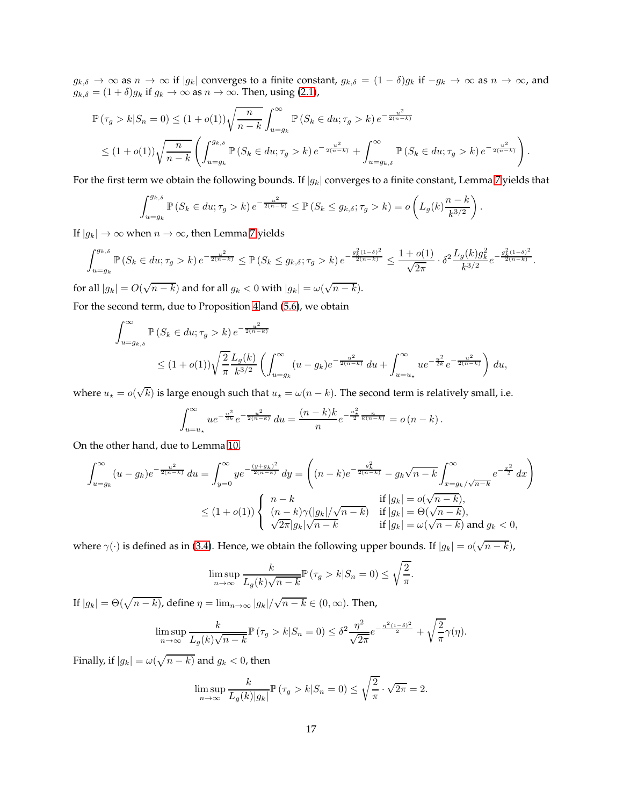$g_{k,\delta} \to \infty$  as  $n \to \infty$  if  $|g_k|$  converges to a finite constant,  $g_{k,\delta} = (1 - \delta)g_k$  if  $-g_k \to \infty$  as  $n \to \infty$ , and  $g_{k,\delta} = (1+\delta)g_k$  if  $g_k \to \infty$  as  $n \to \infty$ . Then, using [\(2.1\)](#page-2-1),

$$
\mathbb{P}(\tau_g > k | S_n = 0) \le (1 + o(1)) \sqrt{\frac{n}{n-k}} \int_{u=g_k}^{\infty} \mathbb{P}(S_k \in du; \tau_g > k) e^{-\frac{u^2}{2(n-k)}}
$$
  

$$
\le (1 + o(1)) \sqrt{\frac{n}{n-k}} \left( \int_{u=g_k}^{g_{k,\delta}} \mathbb{P}(S_k \in du; \tau_g > k) e^{-\frac{u^2}{2(n-k)}} + \int_{u=g_{k,\delta}}^{\infty} \mathbb{P}(S_k \in du; \tau_g > k) e^{-\frac{u^2}{2(n-k)}} \right).
$$

For the first term we obtain the following bounds. If  $|g_k|$  converges to a finite constant, Lemma [7](#page-15-0) yields that

$$
\int_{u=g_k}^{g_{k,\delta}} \mathbb{P}\left(S_k \in du; \tau_g > k\right) e^{-\frac{u^2}{2(n-k)}} \leq \mathbb{P}\left(S_k \leq g_{k,\delta}; \tau_g > k\right) = o\left(L_g(k) \frac{n-k}{k^{3/2}}\right).
$$

If  $|g_k| \to \infty$  when  $n \to \infty$ , then Lemma [7](#page-15-0) yields

$$
\int_{u=g_k}^{g_{k,\delta}} \mathbb{P}\left(S_k \in du; \tau_g > k\right) e^{-\frac{u^2}{2(n-k)}} \leq \mathbb{P}\left(S_k \leq g_{k,\delta}; \tau_g > k\right) e^{-\frac{g_k^2(1-\delta)^2}{2(n-k)}} \leq \frac{1+o(1)}{\sqrt{2\pi}} \cdot \delta^2 \frac{L_g(k)g_k^2}{k^{3/2}} e^{-\frac{g_k^2(1-\delta)^2}{2(n-k)}}.
$$

for all  $|g_k| = O(\sqrt{n-k})$  and for all  $g_k < 0$  with  $|g_k| = \omega(\sqrt{n-k})$ . For the second term, due to Proposition [4](#page-8-1) and [\(5.6\)](#page-8-5), we obtain

$$
\begin{split} \int_{u=g_{k,\delta}}^{\infty}\mathbb{P}\left(S_{k}\in du;\tau_{g}>k\right)e^{-\frac{u^{2}}{2\left(n-k\right)}}\\ \leq& (1+o(1))\sqrt{\frac{2}{\pi}}\frac{L_{g}(k)}{k^{3/2}}\left(\int_{u=g_{k}}^{\infty}(u-g_{k})e^{-\frac{u^{2}}{2\left(n-k\right)}}\ du+\int_{u=u_{\star}}^{\infty}ue^{-\frac{u^{2}}{2k}}e^{-\frac{u^{2}}{2\left(n-k\right)}}\right)du, \end{split}
$$

where  $u_\star = o(\sqrt{k})$  is large enough such that  $u_\star = \omega(n-k)$ . The second term is relatively small, i.e.

$$
\int_{u=u_{\star}}^{\infty} ue^{-\frac{u^2}{2k}} e^{-\frac{u^2}{2(n-k)}} du = \frac{(n-k)k}{n} e^{-\frac{u_{\star}^2}{2} \frac{n}{k(n-k)}} = o(n-k).
$$

On the other hand, due to Lemma [10,](#page-20-6)

$$
\int_{u=g_k}^{\infty} (u-g_k)e^{-\frac{u^2}{2(n-k)}} du = \int_{y=0}^{\infty} ye^{-\frac{(y+g_k)^2}{2(n-k)}} dy = \left( (n-k)e^{-\frac{g_k^2}{2(n-k)}} - g_k\sqrt{n-k} \int_{x=g_k/\sqrt{n-k}}^{\infty} e^{-\frac{x^2}{2}} dx \right)
$$
  

$$
\leq (1+o(1)) \begin{cases} n-k & \text{if } |g_k| = o(\sqrt{n-k}), \\ (n-k)\gamma(|g_k|/\sqrt{n-k}) & \text{if } |g_k| = \Theta(\sqrt{n-k}), \\ \sqrt{2\pi}|g_k|\sqrt{n-k} & \text{if } |g_k| = \omega(\sqrt{n-k}) \text{ and } g_k < 0, \end{cases}
$$

where  $\gamma(\cdot)$  is defined as in [\(3.4\)](#page-3-2). Hence, we obtain the following upper bounds. If  $|g_k| = o(\sqrt{n-k})$ ,

$$
\limsup_{n \to \infty} \frac{k}{L_g(k)\sqrt{n-k}} \mathbb{P}\left(\tau_g > k | S_n = 0\right) \le \sqrt{\frac{2}{\pi}}
$$

.

If  $|g_k| = \Theta(\sqrt{n-k})$ , define  $\eta = \lim_{n\to\infty} |g_k|/\sqrt{n-k} \in (0,\infty)$ . Then,

$$
\limsup_{n\to\infty}\frac{k}{L_g(k)\sqrt{n-k}}\mathbb{P}\left(\tau_g > k|S_n=0\right) \leq \delta^2 \frac{\eta^2}{\sqrt{2\pi}}e^{-\frac{\eta^2(1-\delta)^2}{2}} + \sqrt{\frac{2}{\pi}}\gamma(\eta).
$$

Finally, if  $|g_k| = \omega(\sqrt{n-k})$  and  $g_k < 0$ , then

$$
\limsup_{n \to \infty} \frac{k}{L_g(k)|g_k|} \mathbb{P}(\tau_g > k | S_n = 0) \le \sqrt{\frac{2}{\pi}} \cdot \sqrt{2\pi} = 2.
$$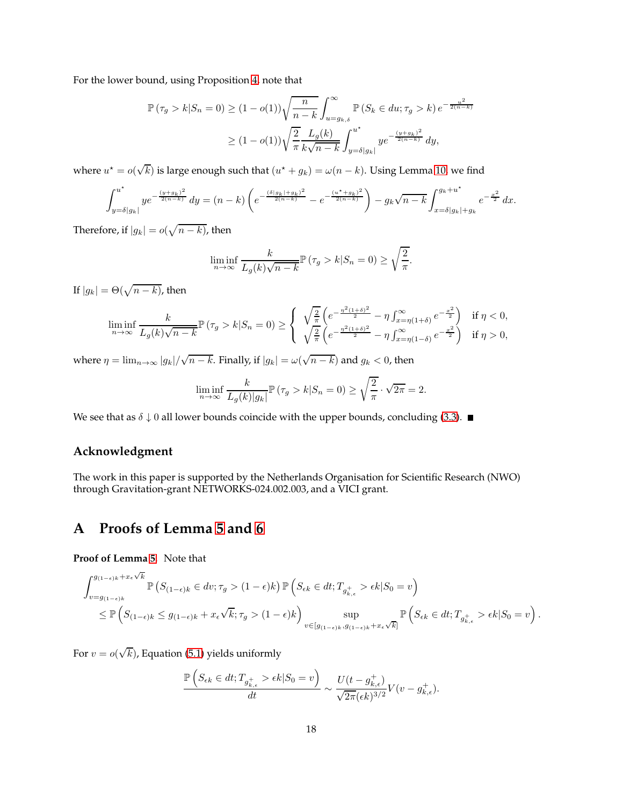For the lower bound, using Proposition [4,](#page-8-1) note that

$$
\mathbb{P}(\tau_g > k | S_n = 0) \ge (1 - o(1)) \sqrt{\frac{n}{n-k}} \int_{u=g_{k,\delta}}^{\infty} \mathbb{P}(S_k \in du; \tau_g > k) e^{-\frac{u^2}{2(n-k)}}
$$
  

$$
\ge (1 - o(1)) \sqrt{\frac{2}{\pi}} \frac{L_g(k)}{k\sqrt{n-k}} \int_{y=\delta|g_k|}^{u^*} ye^{-\frac{(y+g_k)^2}{2(n-k)}} dy,
$$

where  $u^* = o(\sqrt{k})$  is large enough such that  $(u^* + g_k) = \omega(n - k)$ . Using Lemma [10,](#page-20-6) we find

$$
\int_{y=\delta|g_k|}^{u^*} ye^{-\frac{(y+g_k)^2}{2(n-k)}} dy = (n-k) \left( e^{-\frac{(\delta|g_k|+g_k)^2}{2(n-k)}} - e^{-\frac{(u^*+g_k)^2}{2(n-k)}} \right) - g_k \sqrt{n-k} \int_{x=\delta|g_k|+g_k}^{g_k+u^*} e^{-\frac{x^2}{2}} dx.
$$

Therefore, if  $|g_k| = o(\sqrt{n-k})$ , then

$$
\liminf_{n \to \infty} \frac{k}{L_g(k)\sqrt{n-k}} \mathbb{P}\left(\tau_g > k | S_n = 0\right) \ge \sqrt{\frac{2}{\pi}}.
$$

If  $|g_k| = \Theta(\sqrt{n-k})$ , then

$$
\liminf_{n \to \infty} \frac{k}{L_g(k)\sqrt{n-k}} \mathbb{P}\left(\tau_g > k | S_n = 0\right) \ge \begin{cases} \sqrt{\frac{2}{\pi}} \left( e^{-\frac{\eta^2(1+\delta)^2}{2}} - \eta \int_{x=\eta(1+\delta)}^{\infty} e^{-\frac{x^2}{2}} \right) & \text{if } \eta < 0, \\ \sqrt{\frac{2}{\pi}} \left( e^{-\frac{\eta^2(1+\delta)^2}{2}} - \eta \int_{x=\eta(1-\delta)}^{\infty} e^{-\frac{x^2}{2}} \right) & \text{if } \eta > 0, \end{cases}
$$

where  $\eta = \lim_{n\to\infty} |g_k|/\sqrt{n-k}$ . Finally, if  $|g_k| = \omega(\sqrt{n-k})$  and  $g_k < 0$ , then

$$
\liminf_{n \to \infty} \frac{k}{L_g(k)|g_k|} \mathbb{P}\left(\tau_g > k | S_n = 0\right) \ge \sqrt{\frac{2}{\pi}} \cdot \sqrt{2\pi} = 2.
$$

We see that as  $\delta \downarrow 0$  all lower bounds coincide with the upper bounds, concluding [\(3.3\)](#page-3-5).

### **Acknowledgment**

The work in this paper is supported by the Netherlands Organisation for Scientific Research (NWO) through Gravitation-grant NETWORKS-024.002.003, and a VICI grant.

## <span id="page-17-0"></span>**A Proofs of Lemma [5](#page-8-3) and [6](#page-8-4)**

**Proof of Lemma [5.](#page-8-3)** Note that

$$
\int_{v=g_{(1-\epsilon)k}}^{g_{(1-\epsilon)k}+x_{\epsilon}\sqrt{k}} \mathbb{P}\left(S_{(1-\epsilon)k}\in dv; \tau_g > (1-\epsilon)k\right) \mathbb{P}\left(S_{\epsilon k}\in dt; T_{g_{k,\epsilon}^+} > \epsilon k | S_0 = v\right)
$$
  

$$
\leq \mathbb{P}\left(S_{(1-\epsilon)k}\leq g_{(1-\epsilon)k}+x_{\epsilon}\sqrt{k}; \tau_g > (1-\epsilon)k\right) \sup_{v\in[g_{(1-\epsilon)k}, g_{(1-\epsilon)k}+x_{\epsilon}\sqrt{k}]} \mathbb{P}\left(S_{\epsilon k}\in dt; T_{g_{k,\epsilon}^+} > \epsilon k | S_0 = v\right).
$$

For  $v = o(\sqrt{k})$ , Equation [\(5.1\)](#page-7-2) yields uniformly

$$
\frac{\mathbb{P}\left(S_{\epsilon k} \in dt; T_{g_{k,\epsilon}^+} > \epsilon k | S_0 = v\right)}{dt} \sim \frac{U(t - g_{k,\epsilon}^+)}{\sqrt{2\pi}(\epsilon k)^{3/2}} V(v - g_{k,\epsilon}^+).
$$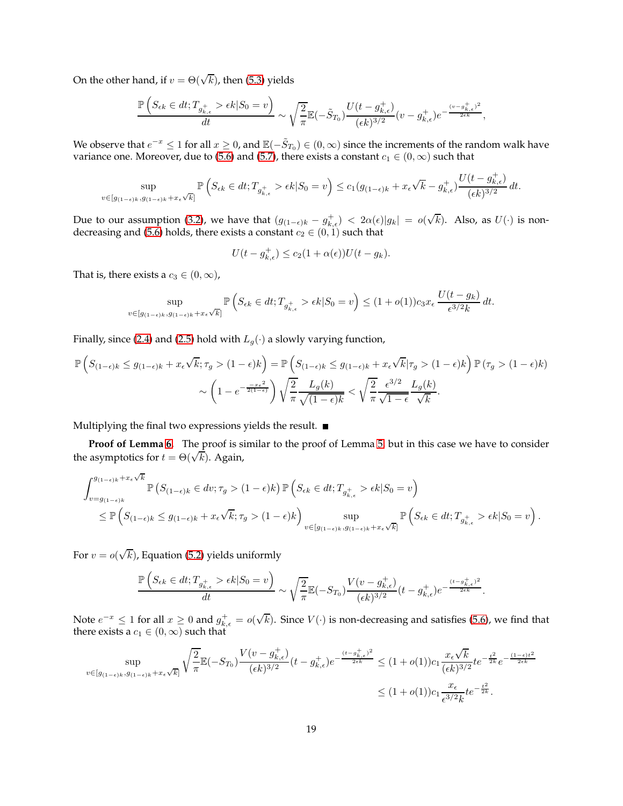On the other hand, if  $v = \Theta(\sqrt{k})$ , then [\(5.3\)](#page-7-3) yields

$$
\frac{\mathbb{P}\left(S_{\epsilon k}\in dt;T_{g_{k,\epsilon}^{+}}>\epsilon k|S_{0}=v\right)}{dt}\sim\sqrt{\frac{2}{\pi}}\mathbb{E}(-\tilde{S}_{T_{0}})\frac{U(t-g_{k,\epsilon}^{+})}{(\epsilon k)^{3/2}}(v-g_{k,\epsilon}^{+})e^{-\frac{(v-g_{k,\epsilon}^{+})^{2}}{2\epsilon k}},
$$

We observe that  $e^{-x} \le 1$  for all  $x \ge 0$ , and  $\mathbb{E}(-\tilde{S}_{T_0}) \in (0,\infty)$  since the increments of the random walk have variance one. Moreover, due to [\(5.6\)](#page-8-5) and [\(5.7\)](#page-8-6), there exists a constant  $c_1 \in (0, \infty)$  such that

$$
\sup_{v \in [g_{(1-\epsilon)k}, g_{(1-\epsilon)k} + x_{\epsilon} \sqrt{k}]} \mathbb{P}\left(S_{\epsilon k} \in dt; T_{g_{k,\epsilon}^+} > \epsilon k | S_0 = v\right) \le c_1(g_{(1-\epsilon)k} + x_{\epsilon} \sqrt{k} - g_{k,\epsilon}^+) \frac{U(t - g_{k,\epsilon}^+)}{(\epsilon k)^{3/2}} dt.
$$

Due to our assumption [\(3.2\)](#page-3-1), we have that  $(g_{(1-\epsilon)k} - g_{k,\epsilon}^+) < 2\alpha(\epsilon)|g_k| = o(\sqrt{k})$ . Also, as  $U(\cdot)$  is non-decreasing and [\(5.6\)](#page-8-5) holds, there exists a constant  $c_2 \in (0,1)$  such that

$$
U(t - g_{k,\epsilon}^+) \le c_2(1 + \alpha(\epsilon))U(t - g_k).
$$

That is, there exists a  $c_3 \in (0, \infty)$ ,

$$
\sup_{v \in [g_{(1-\epsilon)k}, g_{(1-\epsilon)k} + x_{\epsilon} \sqrt{k}]} \mathbb{P}\left(S_{\epsilon k} \in dt; T_{g_{k,\epsilon}^+} > \epsilon k | S_0 = v\right) \le (1+o(1))c_3 x_{\epsilon} \frac{U(t-g_k)}{\epsilon^{3/2} k} dt.
$$

Finally, since [\(2.4\)](#page-2-2) and [\(2.5\)](#page-2-3) hold with  $L_g(\cdot)$  a slowly varying function,

$$
\mathbb{P}\left(S_{(1-\epsilon)k} \leq g_{(1-\epsilon)k} + x_{\epsilon}\sqrt{k}; \tau_g > (1-\epsilon)k\right) = \mathbb{P}\left(S_{(1-\epsilon)k} \leq g_{(1-\epsilon)k} + x_{\epsilon}\sqrt{k}|\tau_g > (1-\epsilon)k\right)\mathbb{P}\left(\tau_g > (1-\epsilon)k\right) \sim \left(1 - e^{-\frac{-x_{\epsilon}^2}{2(1-\epsilon)}}\right)\sqrt{\frac{2}{\pi}}\frac{L_g(k)}{\sqrt{(1-\epsilon)k}} < \sqrt{\frac{2}{\pi}}\frac{\epsilon^{3/2}}{\sqrt{1-\epsilon}}\frac{L_g(k)}{\sqrt{k}}.
$$

Multiplying the final two expressions yields the result.  $\blacksquare$ 

**Proof of Lemma [6.](#page-8-4)** The proof is similar to the proof of Lemma [5,](#page-8-3) but in this case we have to consider the asymptotics for  $t = \Theta(\sqrt{k})$ . Again,

$$
\int_{v=g_{(1-\epsilon)k}}^{g_{(1-\epsilon)k}+x_{\epsilon}\sqrt{k}} \mathbb{P}\left(S_{(1-\epsilon)k}\in dv; \tau_g > (1-\epsilon)k\right) \mathbb{P}\left(S_{\epsilon k}\in dt; T_{g_{k,\epsilon}^+} > \epsilon k | S_0 = v\right)
$$
  

$$
\leq \mathbb{P}\left(S_{(1-\epsilon)k}\leq g_{(1-\epsilon)k}+x_{\epsilon}\sqrt{k}; \tau_g > (1-\epsilon)k\right) \sup_{v\in[g_{(1-\epsilon)k}, g_{(1-\epsilon)k}+x_{\epsilon}\sqrt{k}]} \mathbb{P}\left(S_{\epsilon k}\in dt; T_{g_{k,\epsilon}^+} > \epsilon k | S_0 = v\right).
$$

For  $v = o(\sqrt{k})$ , Equation [\(5.2\)](#page-7-4) yields uniformly

$$
\frac{\mathbb{P}\left(S_{\epsilon k}\in dt; T_{g_{k,\epsilon}^{+}} > \epsilon k | S_{0}=v\right)}{dt} \sim \sqrt{\frac{2}{\pi}} \mathbb{E}(-S_{T_{0}}) \frac{V(v-g_{k,\epsilon}^{+})}{(\epsilon k)^{3/2}}(t-g_{k,\epsilon}^{+}) e^{-\frac{(t-g_{k,\epsilon}^{+})^{2}}{2\epsilon k}}.
$$

Note  $e^{-x} \le 1$  for all  $x \ge 0$  and  $g_{k,\epsilon}^+ = o(\sqrt{k})$ . Since  $V(\cdot)$  is non-decreasing and satisfies [\(5.6\)](#page-8-5), we find that there exists a  $c_1 \in (0, \infty)$  such that

$$
\sup_{v \in [g_{(1-\epsilon)k}, g_{(1-\epsilon)k} + x_{\epsilon}\sqrt{k}]} \sqrt{\frac{2}{\pi}} \mathbb{E}(-S_{T_0}) \frac{V(v - g_{k,\epsilon}^+)}{(\epsilon k)^{3/2}} (t - g_{k,\epsilon}^+) e^{-\frac{(t - g_{k,\epsilon}^+)^2}{2\epsilon k}} \le (1 + o(1))c_1 \frac{x_{\epsilon}\sqrt{k}}{(\epsilon k)^{3/2}} t e^{-\frac{t^2}{2k}} e^{-\frac{(1-\epsilon)t^2}{2\epsilon k}}
$$
  

$$
\le (1 + o(1))c_1 \frac{x_{\epsilon}}{\epsilon^{3/2}k} t e^{-\frac{t^2}{2k}}.
$$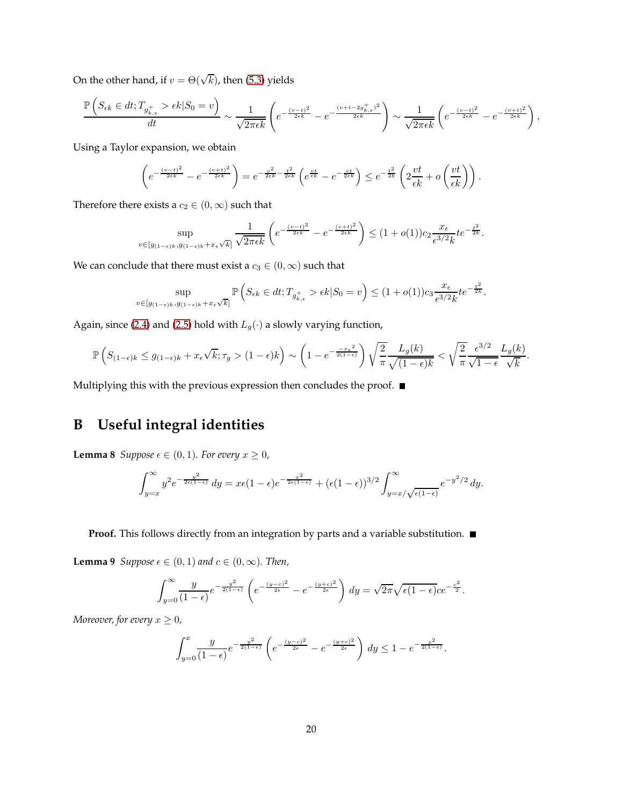On the other hand, if  $v = \Theta(\sqrt{k})$ , then [\(5.3\)](#page-7-3) yields

$$
\frac{\mathbb{P}\left(S_{\epsilon k} \in dt; T_{g_{k,\epsilon}^{+}} > \epsilon k | S_{0} = v\right)}{dt} \sim \frac{1}{\sqrt{2\pi\epsilon k}} \left(e^{-\frac{(v-t)^{2}}{2\epsilon k}} - e^{-\frac{(v+t-2g_{k,\epsilon}^{+})^{2}}{2\epsilon k}}\right) \sim \frac{1}{\sqrt{2\pi\epsilon k}} \left(e^{-\frac{(v-t)^{2}}{2\epsilon k}} - e^{-\frac{(v+t)^{2}}{2\epsilon k}}\right),
$$

Using a Taylor expansion, we obtain

$$
\left(e^{-\frac{(v-t)^2}{2\epsilon k}}-e^{-\frac{(v+t)^2}{2\epsilon k}}\right)=e^{-\frac{v^2}{2\epsilon k}-\frac{t^2}{2\epsilon k}}\left(e^{\frac{vt}{\epsilon k}}-e^{-\frac{vt}{2\epsilon k}}\right)\leq e^{-\frac{t^2}{2k}}\left(2\frac{vt}{\epsilon k}+o\left(\frac{vt}{\epsilon k}\right)\right).
$$

Therefore there exists a  $c_2\in (0,\infty)$  such that

$$
\sup_{v \in [g_{(1-\epsilon)k}, g_{(1-\epsilon)k} + x_{\epsilon} \sqrt{k}]} \frac{1}{\sqrt{2\pi \epsilon k}} \left( e^{-\frac{(v-t)^2}{2\epsilon k}} - e^{-\frac{(v+t)^2}{2\epsilon k}} \right) \le (1+o(1))c_2 \frac{x_{\epsilon}}{\epsilon^{3/2} k} t e^{-\frac{t^2}{2k}}.
$$

We can conclude that there must exist a  $c_3\in(0,\infty)$  such that

$$
\sup_{v \in [g_{(1-\epsilon)k}, g_{(1-\epsilon)k} + x_{\epsilon}\sqrt{k}]} \mathbb{P}\left(S_{\epsilon k} \in dt; T_{g_{k,\epsilon}^+} > \epsilon k | S_0 = v\right) \le (1+o(1))c_3 \frac{x_{\epsilon}}{\epsilon^{3/2} k} t e^{-\frac{t^2}{2k}}.
$$

Again, since [\(2.4\)](#page-2-2) and [\(2.5\)](#page-2-3) hold with  $L_g(\cdot)$  a slowly varying function,

$$
\mathbb{P}\left(S_{(1-\epsilon)k} \le g_{(1-\epsilon)k} + x_{\epsilon}\sqrt{k}; \tau_g > (1-\epsilon)k\right) \sim \left(1 - e^{-\frac{-x_{\epsilon}^2}{2(1-\epsilon)}}\right) \sqrt{\frac{2}{\pi}} \frac{L_g(k)}{\sqrt{(1-\epsilon)k}} < \sqrt{\frac{2}{\pi}} \frac{\epsilon^{3/2}}{\sqrt{1-\epsilon}} \frac{L_g(k)}{\sqrt{k}}
$$

.

Multiplying this with the previous expression then concludes the proof.  $\blacksquare$ 

# **B Useful integral identities**

<span id="page-19-0"></span>**Lemma 8** *Suppose*  $\epsilon \in (0, 1)$ *. For every*  $x \ge 0$ *,* 

$$
\int_{y=x}^{\infty} y^2 e^{-\frac{y^2}{2\epsilon(1-\epsilon)}} dy = x\epsilon (1-\epsilon)e^{-\frac{x^2}{2\epsilon(1-\epsilon)}} + (\epsilon (1-\epsilon))^{3/2} \int_{y=x/\sqrt{\epsilon(1-\epsilon)}}^{\infty} e^{-y^2/2} dy.
$$

<span id="page-19-1"></span>**Proof.** This follows directly from an integration by parts and a variable substitution.  $\blacksquare$ 

**Lemma 9** *Suppose*  $\epsilon \in (0,1)$  *and*  $c \in (0,\infty)$ *. Then,* 

$$
\int_{y=0}^{\infty} \frac{y}{(1-\epsilon)} e^{-\frac{y^2}{2(1-\epsilon)}} \left( e^{-\frac{(y-c)^2}{2\epsilon}} - e^{-\frac{(y+c)^2}{2\epsilon}} \right) dy = \sqrt{2\pi} \sqrt{\epsilon (1-\epsilon)} c e^{-\frac{c^2}{2}}.
$$

*Moreover, for every*  $x \geq 0$ *,* 

$$
\int_{y=0}^{x} \frac{y}{(1-\epsilon)} e^{-\frac{y^2}{2(1-\epsilon)}} \left( e^{-\frac{(y-c)^2}{2\epsilon}} - e^{-\frac{(y+c)^2}{2\epsilon}} \right) dy \le 1 - e^{-\frac{x^2}{2(1-\epsilon)}}.
$$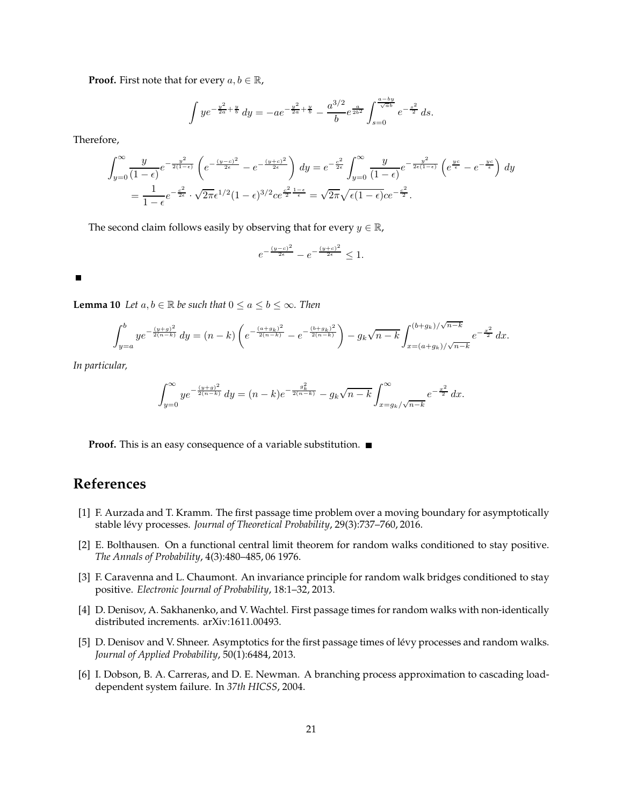**Proof.** First note that for every  $a, b \in \mathbb{R}$ ,

$$
\int ye^{-\frac{y^2}{2a}+\frac{y}{b}} dy = -ae^{-\frac{y^2}{2a}+\frac{y}{b}} - \frac{a^{3/2}}{b}e^{\frac{a}{2b^2}} \int_{s=0}^{\frac{a-by}{\sqrt{ab}}} e^{-\frac{s^2}{2}} ds.
$$

Therefore,

$$
\int_{y=0}^{\infty} \frac{y}{(1-\epsilon)} e^{-\frac{y^2}{2(1-\epsilon)}} \left( e^{-\frac{(y-c)^2}{2\epsilon}} - e^{-\frac{(y+c)^2}{2\epsilon}} \right) dy = e^{-\frac{c^2}{2\epsilon}} \int_{y=0}^{\infty} \frac{y}{(1-\epsilon)} e^{-\frac{y^2}{2\epsilon(1-\epsilon)}} \left( e^{\frac{yc}{\epsilon}} - e^{-\frac{yc}{\epsilon}} \right) dy
$$
  
=  $\frac{1}{1-\epsilon} e^{-\frac{c^2}{2\epsilon}} \cdot \sqrt{2\pi} \epsilon^{1/2} (1-\epsilon)^{3/2} c e^{\frac{c^2}{2} \frac{1-\epsilon}{\epsilon}} = \sqrt{2\pi} \sqrt{\epsilon (1-\epsilon)} c e^{-\frac{c^2}{2}}.$ 

The second claim follows easily by observing that for every  $y \in \mathbb{R}$ ,

$$
e^{-\frac{(y-c)^2}{2\epsilon}} - e^{-\frac{(y+c)^2}{2\epsilon}} \le 1.
$$

#### <span id="page-20-6"></span> $\blacksquare$

**Lemma 10** *Let*  $a, b \in \mathbb{R}$  *be such that*  $0 \le a \le b \le \infty$ *. Then* 

$$
\int_{y=a}^{b} ye^{-\frac{(y+g)^2}{2(n-k)}} dy = (n-k)\left(e^{-\frac{(a+g_k)^2}{2(n-k)}} - e^{-\frac{(b+g_k)^2}{2(n-k)}}\right) - g_k\sqrt{n-k} \int_{x=(a+g_k)/\sqrt{n-k}}^{(b+g_k)/\sqrt{n-k}} e^{-\frac{x^2}{2}} dx.
$$

*In particular,*

$$
\int_{y=0}^{\infty} ye^{-\frac{(y+g)^2}{2(n-k)}} dy = (n-k)e^{-\frac{g_k^2}{2(n-k)}} - g_k\sqrt{n-k} \int_{x=g_k/\sqrt{n-k}}^{\infty} e^{-\frac{x^2}{2}} dx.
$$

**Proof.** This is an easy consequence of a variable substitution. ■

### <span id="page-20-3"></span>**References**

- [1] F. Aurzada and T. Kramm. The first passage time problem over a moving boundary for asymptotically stable lévy processes. *Journal of Theoretical Probability*, 29(3):737-760, 2016.
- <span id="page-20-0"></span>[2] E. Bolthausen. On a functional central limit theorem for random walks conditioned to stay positive. *The Annals of Probability*, 4(3):480–485, 06 1976.
- <span id="page-20-1"></span>[3] F. Caravenna and L. Chaumont. An invariance principle for random walk bridges conditioned to stay positive. *Electronic Journal of Probability*, 18:1–32, 2013.
- <span id="page-20-4"></span>[4] D. Denisov, A. Sakhanenko, and V. Wachtel. First passage times for random walks with non-identically distributed increments. arXiv:1611.00493.
- <span id="page-20-2"></span>[5] D. Denisov and V. Shneer. Asymptotics for the first passage times of lévy processes and random walks. *Journal of Applied Probability*, 50(1):6484, 2013.
- <span id="page-20-5"></span>[6] I. Dobson, B. A. Carreras, and D. E. Newman. A branching process approximation to cascading loaddependent system failure. In *37th HICSS*, 2004.